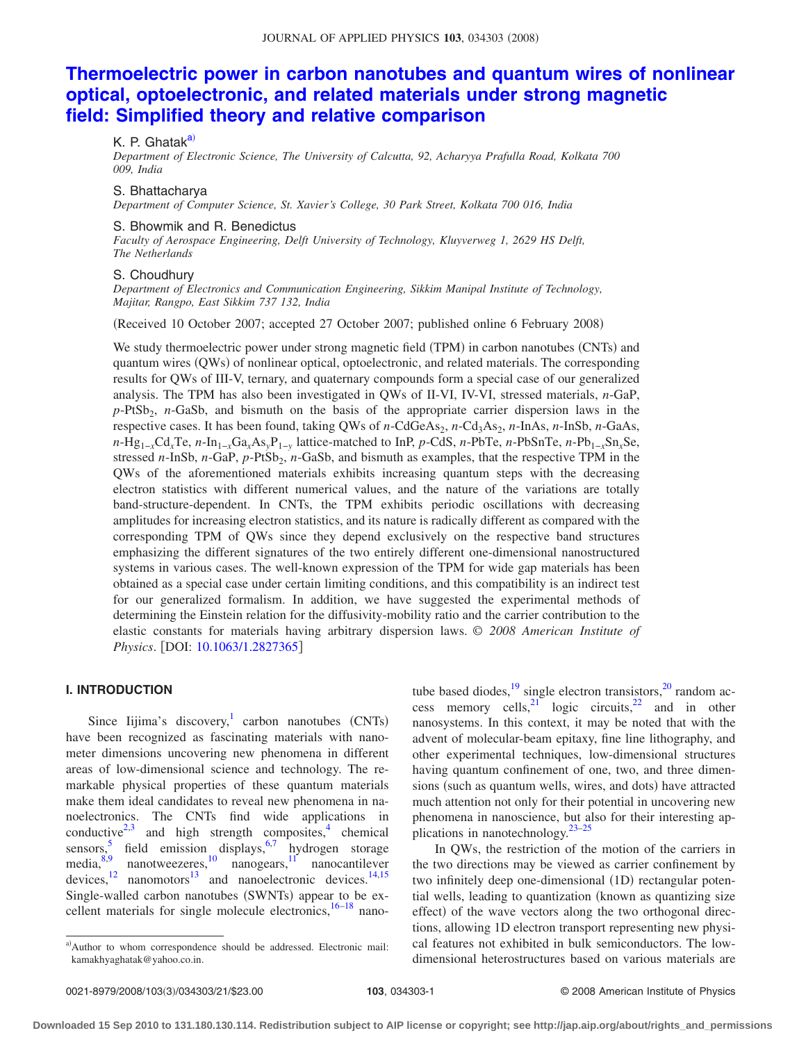# **[Thermoelectric power in carbon nanotubes and quantum wires of nonlinear](http://dx.doi.org/10.1063/1.2827365) [optical, optoelectronic, and related materials under strong magnetic](http://dx.doi.org/10.1063/1.2827365) [field: Simplified theory and relative comparison](http://dx.doi.org/10.1063/1.2827365)**

# K. P. Ghatak<sup>a)</sup>

*Department of Electronic Science, The University of Calcutta, 92, Acharyya Prafulla Road, Kolkata 700 009, India*

#### S. Bhattacharya

*Department of Computer Science, St. Xavier's College, 30 Park Street, Kolkata 700 016, India*

#### S. Bhowmik and R. Benedictus

*Faculty of Aerospace Engineering, Delft University of Technology, Kluyverweg 1, 2629 HS Delft, The Netherlands*

## S. Choudhury

*Department of Electronics and Communication Engineering, Sikkim Manipal Institute of Technology, Majitar, Rangpo, East Sikkim 737 132, India*

(Received 10 October 2007; accepted 27 October 2007; published online 6 February 2008)

We study thermoelectric power under strong magnetic field (TPM) in carbon nanotubes (CNTs) and quantum wires (QWs) of nonlinear optical, optoelectronic, and related materials. The corresponding results for QWs of III-V, ternary, and quaternary compounds form a special case of our generalized analysis. The TPM has also been investigated in QWs of II-VI, IV-VI, stressed materials, *n*-GaP, p-PtSb<sub>2</sub>, *n*-GaSb, and bismuth on the basis of the appropriate carrier dispersion laws in the respective cases. It has been found, taking QWs of *n*-CdGeAs<sub>2</sub>, *n*-Cd<sub>3</sub>As<sub>2</sub>, *n*-InAs, *n*-InSb, *n*-GaAs, *n*-Hg1−*x*Cd*x*Te, *n*-In1−*x*Ga*x*As*y*P1−*<sup>y</sup>* lattice-matched to InP, *p*-CdS, *n*-PbTe, *n*-PbSnTe, *n*-Pb1−*x*Sn*x*Se, stressed *n*-InSb, *n*-GaP, *p*-PtSb<sub>2</sub>, *n*-GaSb, and bismuth as examples, that the respective TPM in the QWs of the aforementioned materials exhibits increasing quantum steps with the decreasing electron statistics with different numerical values, and the nature of the variations are totally band-structure-dependent. In CNTs, the TPM exhibits periodic oscillations with decreasing amplitudes for increasing electron statistics, and its nature is radically different as compared with the corresponding TPM of QWs since they depend exclusively on the respective band structures emphasizing the different signatures of the two entirely different one-dimensional nanostructured systems in various cases. The well-known expression of the TPM for wide gap materials has been obtained as a special case under certain limiting conditions, and this compatibility is an indirect test for our generalized formalism. In addition, we have suggested the experimental methods of determining the Einstein relation for the diffusivity-mobility ratio and the carrier contribution to the elastic constants for materials having arbitrary dispersion laws. © *2008 American Institute of Physics*. [DOI: [10.1063/1.2827365](http://dx.doi.org/10.1063/1.2827365)]

## **I. INTRODUCTION**

Since Iijima's discovery,<sup>1</sup> carbon nanotubes (CNTs) have been recognized as fascinating materials with nanometer dimensions uncovering new phenomena in different areas of low-dimensional science and technology. The remarkable physical properties of these quantum materials make them ideal candidates to reveal new phenomena in nanoelectronics. The CNTs find wide applications in conductive<sup>2[,3](#page-19-2)</sup> and high strength composites, $4$  chemical sensors,<sup>[5](#page-19-4)</sup> field emission displays,<sup>6[,7](#page-19-6)</sup> hydrogen storage  $\text{median}^{8,9}$  $\text{median}^{8,9}$  $\text{median}^{8,9}$  nanotweezeres,  $\frac{10}{10}$  nanogears,  $\frac{11}{10}$  $\frac{11}{10}$  $\frac{11}{10}$  nanocantilever devices, $12$  nanomotors $13$  and nanoelectronic devices.  $14,15$  $14,15$ Single-walled carbon nanotubes (SWNTs) appear to be excellent materials for single molecule electronics,  $16-18$  nano-

tube based diodes, $19 \text{ single electron transistors}, 20 \text{ random ac}$ cess memory cells, <sup>21</sup> logic circuits,<sup>22</sup> and in other nanosystems. In this context, it may be noted that with the advent of molecular-beam epitaxy, fine line lithography, and other experimental techniques, low-dimensional structures having quantum confinement of one, two, and three dimensions (such as quantum wells, wires, and dots) have attracted much attention not only for their potential in uncovering new phenomena in nanoscience, but also for their interesting applications in nanotechnology. $23-25$ 

In QWs, the restriction of the motion of the carriers in the two directions may be viewed as carrier confinement by two infinitely deep one-dimensional (1D) rectangular potential wells, leading to quantization (known as quantizing size effect) of the wave vectors along the two orthogonal directions, allowing 1D electron transport representing new physical features not exhibited in bulk semiconductors. The lowdimensional heterostructures based on various materials are

<span id="page-0-0"></span>a)Author to whom correspondence should be addressed. Electronic mail: kamakhyaghatak@yahoo.co.in.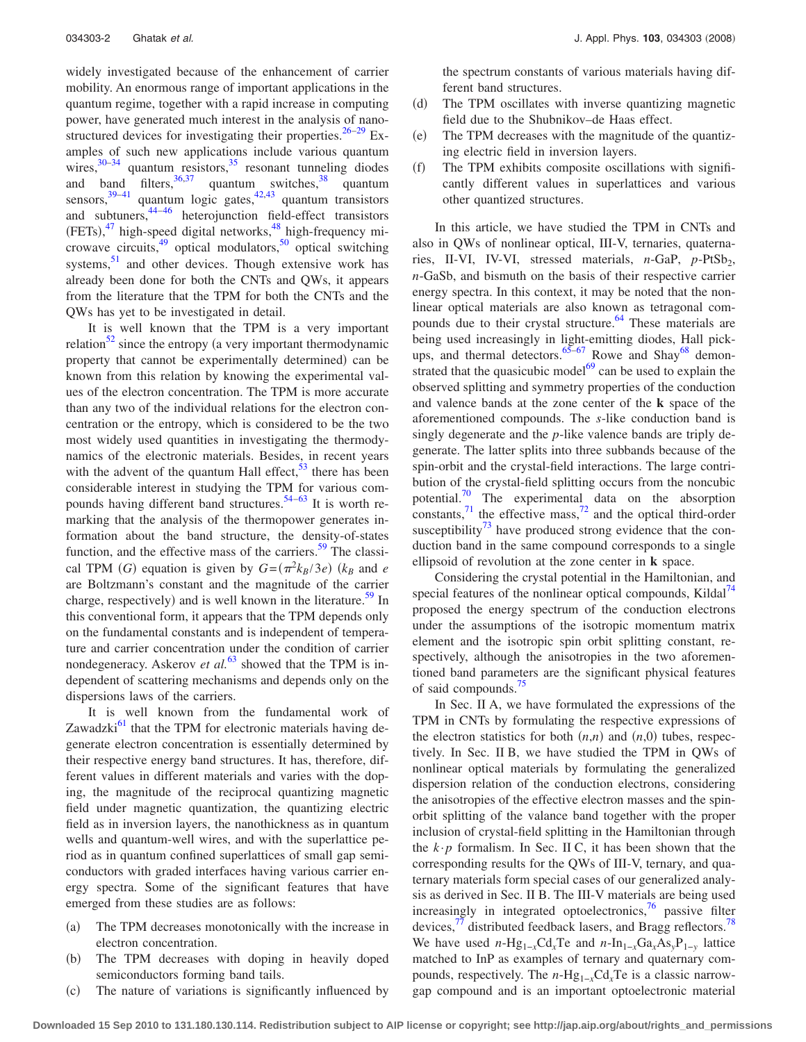widely investigated because of the enhancement of carrier mobility. An enormous range of important applications in the quantum regime, together with a rapid increase in computing power, have generated much interest in the analysis of nano-structured devices for investigating their properties.<sup>26[–29](#page-19-23)</sup> Examples of such new applications include various quantum wires,  $30-34$  $30-34$  quantum resistors,  $35$  resonant tunneling diodes and band filters,  $36,37$  $36,37$  quantum switches,  $38$  quantum sensors,  $39-41$  $39-41$  quantum logic gates,  $42,43$  $42,43$  quantum transistors and subtuners[,44–](#page-19-34)[46](#page-19-35) heterojunction field-effect transistors  $(FETs)$ ,<sup>[47](#page-19-36)</sup> high-speed digital networks,<sup>48</sup> high-frequency microwave circuits, $49$  optical modulators, $50$  optical switching systems, $51$  and other devices. Though extensive work has already been done for both the CNTs and QWs, it appears from the literature that the TPM for both the CNTs and the QWs has yet to be investigated in detail.

It is well known that the TPM is a very important relation $52$  since the entropy (a very important thermodynamic property that cannot be experimentally determined) can be known from this relation by knowing the experimental values of the electron concentration. The TPM is more accurate than any two of the individual relations for the electron concentration or the entropy, which is considered to be the two most widely used quantities in investigating the thermodynamics of the electronic materials. Besides, in recent years with the advent of the quantum Hall effect,  $53$  there has been considerable interest in studying the TPM for various com-pounds having different band structures.<sup>54–[63](#page-19-44)</sup> It is worth remarking that the analysis of the thermopower generates information about the band structure, the density-of-states function, and the effective mass of the carriers. $59$  The classical TPM (*G*) equation is given by  $G = (\pi^2 k_B/3e)$  ( $k_B$  and *e* are Boltzmann's constant and the magnitude of the carrier charge, respectively) and is well known in the literature.<sup>59</sup> In this conventional form, it appears that the TPM depends only on the fundamental constants and is independent of temperature and carrier concentration under the condition of carrier nondegeneracy. Askerov *et al.*<sup>[63](#page-19-44)</sup> showed that the TPM is independent of scattering mechanisms and depends only on the dispersions laws of the carriers.

It is well known from the fundamental work of Zawadzki $^{61}$  that the TPM for electronic materials having degenerate electron concentration is essentially determined by their respective energy band structures. It has, therefore, different values in different materials and varies with the doping, the magnitude of the reciprocal quantizing magnetic field under magnetic quantization, the quantizing electric field as in inversion layers, the nanothickness as in quantum wells and quantum-well wires, and with the superlattice period as in quantum confined superlattices of small gap semiconductors with graded interfaces having various carrier energy spectra. Some of the significant features that have emerged from these studies are as follows:

- $(a)$  The TPM decreases monotonically with the increase in electron concentration.
- $(b)$  The TPM decreases with doping in heavily doped semiconductors forming band tails.
- $(c)$ The nature of variations is significantly influenced by

the spectrum constants of various materials having different band structures.

- $(d)$  The TPM oscillates with inverse quantizing magnetic field due to the Shubnikov–de Haas effect.
- $(e)$  The TPM decreases with the magnitude of the quantizing electric field in inversion layers.
- $(f)$  The TPM exhibits composite oscillations with significantly different values in superlattices and various other quantized structures.

In this article, we have studied the TPM in CNTs and also in QWs of nonlinear optical, III-V, ternaries, quaternaries, II-VI, IV-VI, stressed materials, *n*-GaP, *p*-PtSb<sub>2</sub>, *n*-GaSb, and bismuth on the basis of their respective carrier energy spectra. In this context, it may be noted that the nonlinear optical materials are also known as tetragonal compounds due to their crystal structure.<sup>64</sup> These materials are being used increasingly in light-emitting diodes, Hall pick-ups, and thermal detectors.<sup>65[–67](#page-19-49)</sup> Rowe and Shay<sup>68</sup> demonstrated that the quasicubic model $^{69}$  can be used to explain the observed splitting and symmetry properties of the conduction and valence bands at the zone center of the **k** space of the aforementioned compounds. The *s*-like conduction band is singly degenerate and the *p*-like valence bands are triply degenerate. The latter splits into three subbands because of the spin-orbit and the crystal-field interactions. The large contribution of the crystal-field splitting occurs from the noncubic potential.<sup>70</sup> The experimental data on the absorption constants, $\frac{71}{1}$  the effective mass, $\frac{72}{1}$  and the optical third-order susceptibility<sup>73</sup> have produced strong evidence that the conduction band in the same compound corresponds to a single ellipsoid of revolution at the zone center in **k** space.

Considering the crystal potential in the Hamiltonian, and special features of the nonlinear optical compounds, Kildal $^{14}$ proposed the energy spectrum of the conduction electrons under the assumptions of the isotropic momentum matrix element and the isotropic spin orbit splitting constant, respectively, although the anisotropies in the two aforementioned band parameters are the significant physical features of said compounds[.75](#page-19-57)

In Sec. II A, we have formulated the expressions of the TPM in CNTs by formulating the respective expressions of the electron statistics for both  $(n,n)$  and  $(n,0)$  tubes, respectively. In Sec. II B, we have studied the TPM in QWs of nonlinear optical materials by formulating the generalized dispersion relation of the conduction electrons, considering the anisotropies of the effective electron masses and the spinorbit splitting of the valance band together with the proper inclusion of crystal-field splitting in the Hamiltonian through the  $k \cdot p$  formalism. In Sec. II C, it has been shown that the corresponding results for the QWs of III-V, ternary, and quaternary materials form special cases of our generalized analysis as derived in Sec. II B. The III-V materials are being used increasingly in integrated optoelectronics, $\frac{76}{10}$  passive filter devices, $\frac{77}{8}$  distributed feedback lasers, and Bragg reflectors.<sup>78</sup> We have used *n*-Hg<sub>1−*x*</sub>Cd<sub>*x*</sub>Te and *n*-In<sub>1−*x*</sub>Ga<sub>*x*</sub>As<sub>*y*</sub>P<sub>1−*v*</sub> lattice matched to InP as examples of ternary and quaternary compounds, respectively. The *n*-Hg1−*x*Cd*x*Te is a classic narrowgap compound and is an important optoelectronic material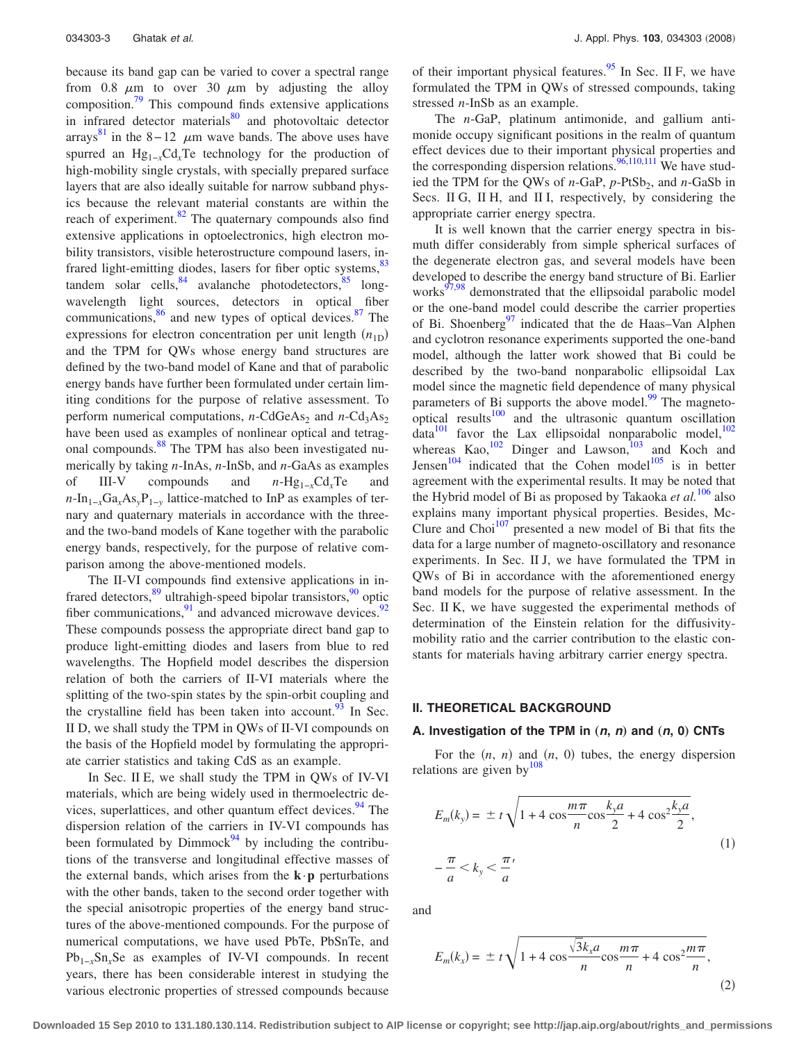because its band gap can be varied to cover a spectral range from 0.8  $\mu$ m to over 30  $\mu$ m by adjusting the alloy composition[.79](#page-19-61) This compound finds extensive applications in infrared detector materials $\frac{80}{2}$  and photovoltaic detector arrays<sup>[81](#page-19-63)</sup> in the 8–12  $\mu$ m wave bands. The above uses have spurred an Hg<sub>1−*x*</sub>Cd<sub>*x*</sub>Te technology for the production of high-mobility single crystals, with specially prepared surface layers that are also ideally suitable for narrow subband physics because the relevant material constants are within the reach of experiment.<sup>82</sup> The quaternary compounds also find extensive applications in optoelectronics, high electron mobility transistors, visible heterostructure compound lasers, infrared light-emitting diodes, lasers for fiber optic systems, $\frac{83}{3}$ tandem solar cells,  $84$  avalanche photodetectors,  $85$  longwavelength light sources, detectors in optical fiber communications,  $\frac{86}{6}$  and new types of optical devices.  $\frac{87}{6}$  The expressions for electron concentration per unit length  $(n_{1D})$ and the TPM for QWs whose energy band structures are defined by the two-band model of Kane and that of parabolic energy bands have further been formulated under certain limiting conditions for the purpose of relative assessment. To perform numerical computations, *n*-CdGeAs<sub>2</sub> and *n*-Cd<sub>3</sub>As<sub>2</sub> have been used as examples of nonlinear optical and tetragonal compounds.<sup>88</sup> The TPM has also been investigated numerically by taking *n*-InAs, *n*-InSb, and *n*-GaAs as examples of III-V compounds and *n*-Hg1−*x*Cd*x*Te and  $n-\ln_{1-x}Ga_xAs_yP_{1-y}$  lattice-matched to InP as examples of ternary and quaternary materials in accordance with the threeand the two-band models of Kane together with the parabolic energy bands, respectively, for the purpose of relative comparison among the above-mentioned models.

The II-VI compounds find extensive applications in infrared detectors,  $89$  ultrahigh-speed bipolar transistors,  $90$  optic fiber communications, $91$  and advanced microwave devices.<sup>92</sup> These compounds possess the appropriate direct band gap to produce light-emitting diodes and lasers from blue to red wavelengths. The Hopfield model describes the dispersion relation of both the carriers of II-VI materials where the splitting of the two-spin states by the spin-orbit coupling and the crystalline field has been taken into account. <sup>93</sup> In Sec. II D, we shall study the TPM in QWs of II-VI compounds on the basis of the Hopfield model by formulating the appropriate carrier statistics and taking CdS as an example.

In Sec. II E, we shall study the TPM in QWs of IV-VI materials, which are being widely used in thermoelectric devices, superlattices, and other quantum effect devices.  $94$  The dispersion relation of the carriers in IV-VI compounds has been formulated by  $Dimmock<sup>94</sup>$  by including the contributions of the transverse and longitudinal effective masses of the external bands, which arises from the  $\mathbf{k} \cdot \mathbf{p}$  perturbations with the other bands, taken to the second order together with the special anisotropic properties of the energy band structures of the above-mentioned compounds. For the purpose of numerical computations, we have used PbTe, PbSnTe, and Pb<sub>1−*x*</sub>Sn<sub>*x*</sub>Se as examples of IV-VI compounds. In recent years, there has been considerable interest in studying the various electronic properties of stressed compounds because of their important physical features. $95$  In Sec. II F, we have formulated the TPM in QWs of stressed compounds, taking stressed *n*-InSb as an example.

The *n*-GaP, platinum antimonide, and gallium antimonide occupy significant positions in the realm of quantum effect devices due to their important physical properties and the corresponding dispersion relations.<sup>96,[110,](#page-20-9)[111](#page-20-10)</sup> We have studied the TPM for the QWs of *n*-GaP, *p*-PtSb<sub>2</sub>, and *n*-GaSb in Secs. II G, II H, and II I, respectively, by considering the appropriate carrier energy spectra.

It is well known that the carrier energy spectra in bismuth differ considerably from simple spherical surfaces of the degenerate electron gas, and several models have been developed to describe the energy band structure of Bi. Earlier works<sup>97,[98](#page-20-12)</sup> demonstrated that the ellipsoidal parabolic model or the one-band model could describe the carrier properties of Bi. Shoenberg<sup>97</sup> indicated that the de Haas–Van Alphen and cyclotron resonance experiments supported the one-band model, although the latter work showed that Bi could be described by the two-band nonparabolic ellipsoidal Lax model since the magnetic field dependence of many physical parameters of Bi supports the above model. $\frac{99}{9}$  The magnetooptical results $100$  and the ultrasonic quantum oscillation  $data<sup>101</sup>$  favor the Lax ellipsoidal nonparabolic model,<sup>102</sup> whereas  $Kao$ ,<sup>102</sup> Dinger and Lawson,<sup>103</sup> and Koch and Jensen<sup>104</sup> indicated that the Cohen model<sup>105</sup> is in better agreement with the experimental results. It may be noted that the Hybrid model of Bi as proposed by Takaoka *et al.*[106](#page-20-20) also explains many important physical properties. Besides, Mc-Clure and  $Choi<sup>107</sup>$  presented a new model of Bi that fits the data for a large number of magneto-oscillatory and resonance experiments. In Sec. II J, we have formulated the TPM in QWs of Bi in accordance with the aforementioned energy band models for the purpose of relative assessment. In the Sec. II K, we have suggested the experimental methods of determination of the Einstein relation for the diffusivitymobility ratio and the carrier contribution to the elastic constants for materials having arbitrary carrier energy spectra.

#### **II. THEORETICAL BACKGROUND**

#### A. Investigation of the TPM in  $(n, n)$  and  $(n, 0)$  CNTs

For the  $(n, n)$  and  $(n, 0)$  tubes, the energy dispersion relations are given by  $108$ 

<span id="page-2-0"></span>
$$
E_m(k_y) = \pm t \sqrt{1 + 4 \cos \frac{m\pi}{n} \cos \frac{k_y a}{2} + 4 \cos^2 \frac{k_y a}{2}},
$$
  

$$
-\frac{\pi}{a} < k_y < \frac{\pi}{a'}
$$
 (1)

<span id="page-2-1"></span>and

$$
E_m(k_x) = \pm t \sqrt{1 + 4 \cos \frac{\sqrt{3}k_x a}{n} \cos \frac{m\pi}{n} + 4 \cos^2 \frac{m\pi}{n}},
$$
\n(2)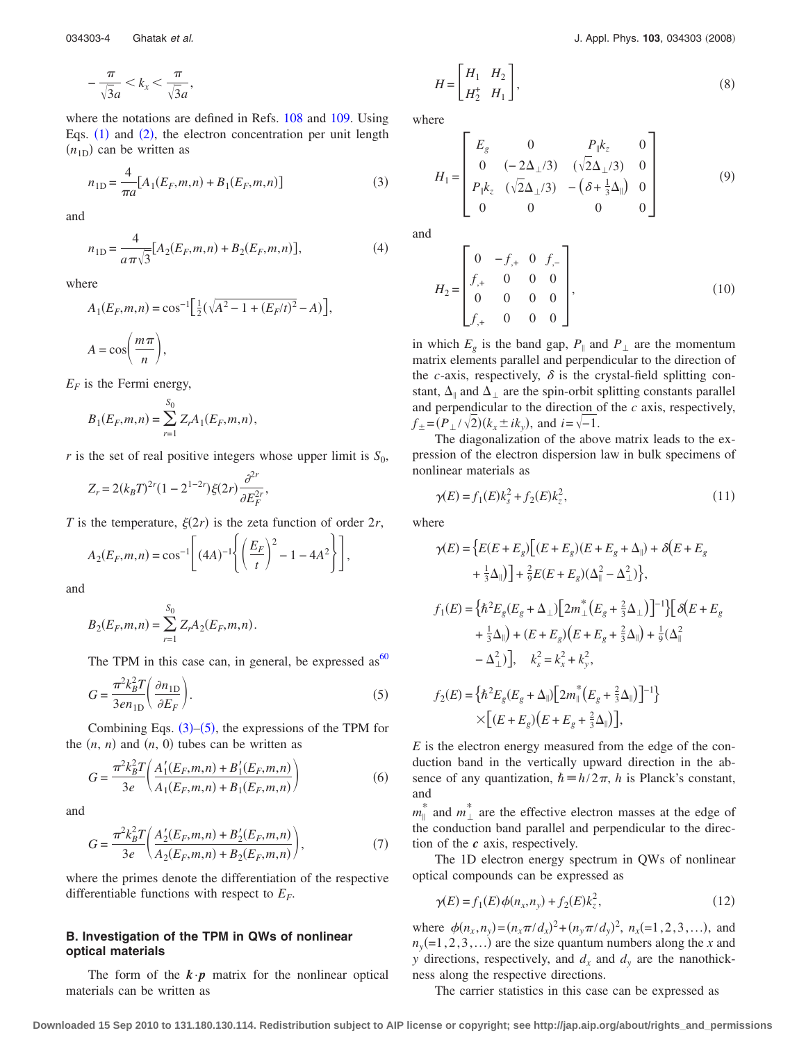$$
-\frac{\pi}{\sqrt{3}a} < k_x < \frac{\pi}{\sqrt{3}a},
$$

where the notations are defined in Refs. [108](#page-20-22) and [109.](#page-20-23) Using Eqs.  $(1)$  $(1)$  $(1)$  and  $(2)$  $(2)$  $(2)$ , the electron concentration per unit length  $(n_{1D})$  can be written as

<span id="page-3-0"></span>
$$
n_{1D} = \frac{4}{\pi a} [A_1(E_F, m, n) + B_1(E_F, m, n)] \tag{3}
$$

<span id="page-3-4"></span>and

$$
n_{1D} = \frac{4}{a\pi\sqrt{3}} [A_2(E_F, m, n) + B_2(E_F, m, n)],
$$
\n(4)

where

$$
A_1(E_F, m, n) = \cos^{-1} \left[ \frac{1}{2} (\sqrt{A^2 - 1 + (E_F/t)^2} - A) \right],
$$
  

$$
A = \cos \left( \frac{m \pi}{n} \right),
$$

 $E_F$  is the Fermi energy,

$$
B_1(E_F, m, n) = \sum_{r=1}^{S_0} Z_r A_1(E_F, m, n),
$$

*r* is the set of real positive integers whose upper limit is  $S_0$ ,

$$
Z_r = 2(k_B T)^{2r} (1 - 2^{1-2r}) \xi(2r) \frac{\partial^{2r}}{\partial E_F^{2r}},
$$

*T* is the temperature,  $\xi(2r)$  is the zeta function of order 2*r*,

$$
A_2(E_F, m, n) = \cos^{-1}\left[ (4A)^{-1} \left\{ \left( \frac{E_F}{t} \right)^2 - 1 - 4A^2 \right\} \right],
$$

and

$$
B_2(E_F, m, n) = \sum_{r=1}^{S_0} Z_r A_2(E_F, m, n).
$$

The TPM in this case can, in general, be expressed as  $60$ 

<span id="page-3-1"></span>
$$
G = \frac{\pi^2 k_B^2 T}{3e n_{\text{1D}}} \left( \frac{\partial n_{\text{1D}}}{\partial E_F} \right). \tag{5}
$$

Combining Eqs.  $(3)$  $(3)$  $(3)$ – $(5)$  $(5)$  $(5)$ , the expressions of the TPM for the  $(n, n)$  and  $(n, 0)$  tubes can be written as

<span id="page-3-3"></span>
$$
G = \frac{\pi^2 k_B^2 T}{3e} \left( \frac{A_1'(E_F, m, n) + B_1'(E_F, m, n)}{A_1(E_F, m, n) + B_1(E_F, m, n)} \right)
$$
(6)

<span id="page-3-5"></span>and

$$
G = \frac{\pi^2 k_B^2 T}{3e} \left( \frac{A_2'(E_F, m, n) + B_2'(E_F, m, n)}{A_2(E_F, m, n) + B_2(E_F, m, n)} \right),
$$
 (7)

where the primes denote the differentiation of the respective differentiable functions with respect to  $E_F$ .

## **B. Investigation of the TPM in QWs of nonlinear optical materials**

The form of the  $\mathbf{k} \cdot \mathbf{p}$  matrix for the nonlinear optical materials can be written as

$$
H = \begin{bmatrix} H_1 & H_2 \\ H_2^+ & H_1 \end{bmatrix},\tag{8}
$$

where

$$
H_{1} = \begin{bmatrix} E_{g} & 0 & P_{\parallel}k_{z} & 0 \\ 0 & (-2\Delta_{\perp}/3) & (\sqrt{2}\Delta_{\perp}/3) & 0 \\ P_{\parallel}k_{z} & (\sqrt{2}\Delta_{\perp}/3) & -(\delta + \frac{1}{3}\Delta_{\parallel}) & 0 \\ 0 & 0 & 0 & 0 \end{bmatrix}
$$
(9)

and

$$
H_2 = \begin{bmatrix} 0 & -f_{,+} & 0 & f_{,-} \\ f_{,+} & 0 & 0 & 0 \\ 0 & 0 & 0 & 0 \\ f_{,+} & 0 & 0 & 0 \end{bmatrix},
$$
(10)

in which  $E_g$  is the band gap,  $P_{\parallel}$  and  $P_{\perp}$  are the momentum matrix elements parallel and perpendicular to the direction of the *c*-axis, respectively,  $\delta$  is the crystal-field splitting constant,  $\Delta_{\parallel}$  and  $\Delta_{\perp}$  are the spin-orbit splitting constants parallel and perpendicular to the direction of the *c* axis, respectively, *f*  $_{\pm}$  =  $(P_{\perp}/\sqrt{2})$  ( $k_x$   $\pm$  *i* $k_y$ ), and *i* =  $\sqrt{-1}$ .

The diagonalization of the above matrix leads to the expression of the electron dispersion law in bulk specimens of nonlinear materials as

<span id="page-3-2"></span>
$$
\gamma(E) = f_1(E)k_s^2 + f_2(E)k_z^2,\tag{11}
$$

where

$$
\gamma(E) = \left\{ E(E + E_g) \Big[ (E + E_g)(E + E_g + \Delta_{\parallel}) + \delta(E + E_g + \Delta_{\parallel}) \Big] + \frac{2}{9} E(E + E_g)(\Delta_{\parallel}^2 - \Delta_{\perp}^2) \right\},
$$
  
\n
$$
f_1(E) = \left\{ \hbar^2 E_g (E_g + \Delta_{\perp}) \Big[ 2m_{\perp}^* \Big( E_g + \frac{2}{3}\Delta_{\perp} \Big) \Big]^{-1} \right\} \Big[ \delta(E + E_g + \frac{1}{3}\Delta_{\parallel}) + (E + E_g)(E + E_g + \frac{2}{3}\Delta_{\parallel}) + \frac{1}{9}(\Delta_{\parallel}^2 - \Delta_{\perp}^2) \Big],
$$
  
\n
$$
k_g^2 = k_x^2 + k_y^2,
$$
  
\n
$$
f_2(E) = \left\{ \hbar^2 E_g (E_g + \Delta_{\parallel}) \Big[ 2m_{\parallel}^* \Big( E_g + \frac{2}{3}\Delta_{\parallel} \Big) \Big]^{-1} \right\}
$$
  
\n
$$
\times \Big[ (E + E_g)(E + E_g + \frac{2}{3}\Delta_{\parallel}) \Big],
$$

*E* is the electron energy measured from the edge of the conduction band in the vertically upward direction in the absence of any quantization,  $\hbar = h/2\pi$ , *h* is Planck's constant, and

 $m_{\parallel}^*$  and  $m_{\perp}^*$  are the effective electron masses at the edge of the conduction band parallel and perpendicular to the direction of the *c* axis, respectively.

The 1D electron energy spectrum in QWs of nonlinear optical compounds can be expressed as

$$
\gamma(E) = f_1(E)\phi(n_x, n_y) + f_2(E)k_z^2,
$$
\n(12)

<span id="page-3-6"></span>where  $\phi(n_x, n_y) = (n_x \pi / d_x)^2 + (n_y \pi / d_y)^2$ ,  $n_x (= 1, 2, 3, ...)$ , and  $n_y$ (=1,2,3,...) are the size quantum numbers along the *x* and *y* directions, respectively, and  $d_x$  and  $d_y$  are the nanothickness along the respective directions.

The carrier statistics in this case can be expressed as

**Downloaded 15 Sep 2010 to 131.180.130.114. Redistribution subject to AIP license or copyright; see http://jap.aip.org/about/rights\_and\_permissions**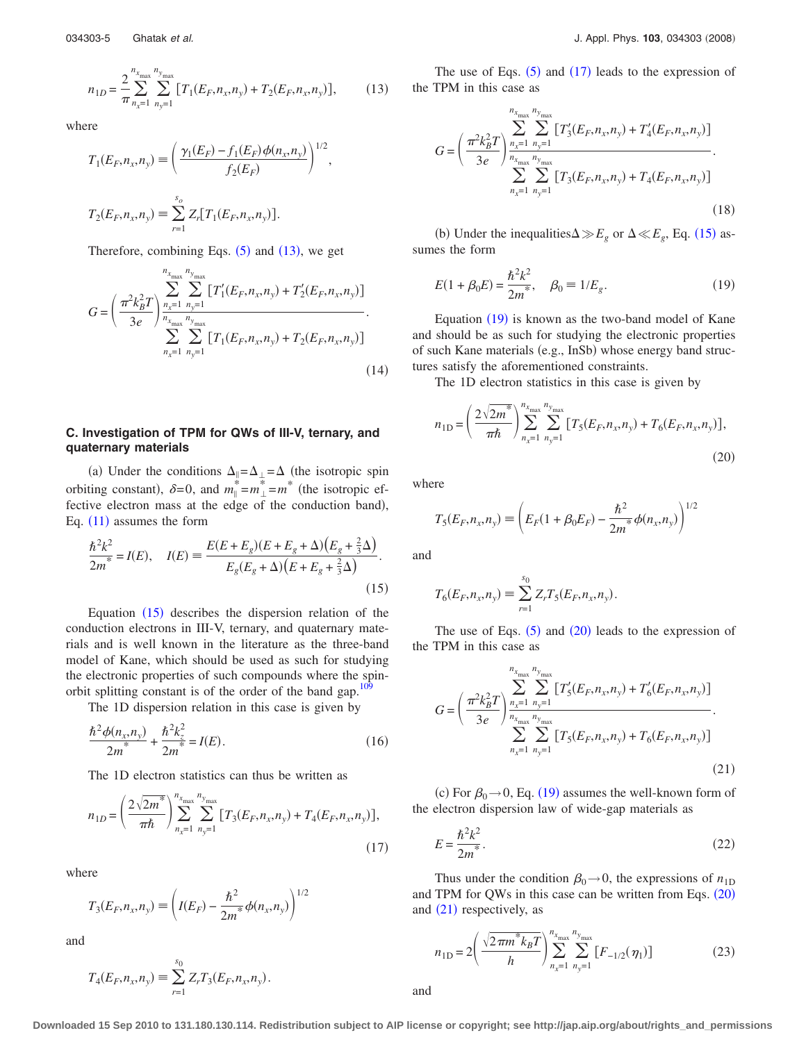<span id="page-4-0"></span>where

$$
T_1(E_F, n_x, n_y) \equiv \left(\frac{\gamma_1(E_F) - f_1(E_F)\phi(n_x, n_y)}{f_2(E_F)}\right)^{1/2},
$$
  

$$
T_2(E_F, n_x, n_y) \equiv \sum_{r=1}^{s_o} Z_r[T_1(E_F, n_x, n_y)].
$$

Therefore, combining Eqs.  $(5)$  $(5)$  $(5)$  and  $(13)$  $(13)$  $(13)$ , we get

<span id="page-4-8"></span>
$$
G = \left(\frac{\pi^2 k_B^2 T}{3e}\right) \sum_{\substack{n_x=1 \ n_y=1}}^{n_{x_{\text{max}}} n_{y_{\text{max}}}} \left[ T_1'(E_F, n_x, n_y) + T_2'(E_F, n_x, n_y) \right] \cdot \sum_{n_x=1}^{n_{x_{\text{max}}} n_{y_{\text{max}}}} \sum_{n_y=1}^{n_{x_{\text{max}}} n_y} \left[ T_1(E_F, n_x, n_y) + T_2(E_F, n_x, n_y) \right] \cdot (14)
$$

## **C. Investigation of TPM for QWs of III-V, ternary, and quaternary materials**

(a) Under the conditions  $\Delta_{\parallel} = \Delta_{\perp} = \Delta$  (the isotropic spin orbiting constant),  $\delta = 0$ , and  $m_{\parallel}^* = m_{\perp}^* = m^*$  (the isotropic effective electron mass at the edge of the conduction band), Eq.  $(11)$  $(11)$  $(11)$  assumes the form

<span id="page-4-1"></span>
$$
\frac{\hbar^2 k^2}{2m^*} = I(E), \quad I(E) = \frac{E(E + E_g)(E + E_g + \Delta)(E_g + \frac{2}{3}\Delta)}{E_g(E_g + \Delta)(E + E_g + \frac{2}{3}\Delta)}.
$$
\n(15)

Equation  $(15)$  $(15)$  $(15)$  describes the dispersion relation of the conduction electrons in III-V, ternary, and quaternary materials and is well known in the literature as the three-band model of Kane, which should be used as such for studying the electronic properties of such compounds where the spinorbit splitting constant is of the order of the band gap.<sup>109</sup>

The 1D dispersion relation in this case is given by

$$
\frac{\hbar^2 \phi(n_x, n_y)}{2m^*} + \frac{\hbar^2 k_z^2}{2m^*} = I(E). \tag{16}
$$

The 1D electron statistics can thus be written as

<span id="page-4-2"></span>
$$
n_{1D} = \left(\frac{2\sqrt{2m^*}}{\pi\hbar}\right)_{n_x=1}^{n_{x_{\text{max}}}} \sum_{n_y=1}^{n_{y_{\text{max}}}} \left[T_3(E_F, n_x, n_y) + T_4(E_F, n_x, n_y)\right],\tag{17}
$$

where

$$
T_3(E_F, n_x, n_y) \equiv \left( I(E_F) - \frac{\hbar^2}{2m^*} \phi(n_x, n_y) \right)^{1/2}
$$

and

$$
T_4(E_F, n_x, n_y) \equiv \sum_{r=1}^{s_0} Z_r T_3(E_F, n_x, n_y).
$$

The use of Eqs.  $(5)$  $(5)$  $(5)$  and  $(17)$  $(17)$  $(17)$  leads to the expression of the TPM in this case as

<span id="page-4-9"></span>
$$
G = \left(\frac{\pi^2 k_B^2 T}{3e} \right) \sum_{n_x=1}^{n_{x_{\text{max}}}} \sum_{n_y=1}^{n_{y_{\text{max}}}} \left[ T'_3(E_F, n_x, n_y) + T'_4(E_F, n_x, n_y) \right] \over \sum_{n_x=1}^{n_{x_{\text{max}}}} \sum_{n_y=1}^{n_{y_{\text{max}}}} \left[ T_3(E_F, n_x, n_y) + T_4(E_F, n_x, n_y) \right] \tag{18}
$$

(b) Under the inequalities $\Delta \gg E_g$  or  $\Delta \ll E_g$ , Eq. ([15](#page-4-1)) assumes the form

<span id="page-4-3"></span>
$$
E(1 + \beta_0 E) = \frac{\hbar^2 k^2}{2m^*}, \quad \beta_0 = 1/E_g.
$$
 (19)

Equation ([19](#page-4-3)) is known as the two-band model of Kane and should be as such for studying the electronic properties of such Kane materials (e.g., InSb) whose energy band structures satisfy the aforementioned constraints.

The 1D electron statistics in this case is given by

<span id="page-4-4"></span>
$$
n_{1D} = \left(\frac{2\sqrt{2m^*}}{\pi\hbar}\right) \sum_{n_x=1}^{n_{x_{\text{max}}}} \sum_{n_y=1}^{n_{y_{\text{max}}}} \left[T_5(E_F, n_x, n_y) + T_6(E_F, n_x, n_y)\right],\tag{20}
$$

where

$$
T_5(E_F, n_x, n_y) \equiv \left(E_F(1 + \beta_0 E_F) - \frac{\hbar^2}{2m^*} \phi(n_x, n_y)\right)^{1/2}
$$

and

$$
T_6(E_F, n_x, n_y) \equiv \sum_{r=1}^{s_0} Z_r T_5(E_F, n_x, n_y).
$$

The use of Eqs.  $(5)$  $(5)$  $(5)$  and  $(20)$  $(20)$  $(20)$  leads to the expression of the TPM in this case as

<span id="page-4-5"></span>
$$
G = \left(\frac{\pi^2 k_B^2 T}{3e} \right) \sum_{\substack{n_x=1 \ n_y=1}}^{n_{x_{\text{max}}}} \sum_{\substack{n_y=1 \ n_y=1}}^{n_{y_{\text{max}}}} \left[ T'_5(E_F, n_x, n_y) + T'_6(E_F, n_x, n_y) \right] \cdot \sum_{\substack{n_x=1 \ n_y=1}}^{n_{x_{\text{max}}}} \left[ T_5(E_F, n_x, n_y) + T_6(E_F, n_x, n_y) \right] \cdot \tag{21}
$$

(c) For  $\beta_0 \rightarrow 0$ , Eq. ([19](#page-4-3)) assumes the well-known form of the electron dispersion law of wide-gap materials as

<span id="page-4-6"></span>
$$
E = \frac{\hbar^2 k^2}{2m^*}.
$$
\n<sup>(22)</sup>

Thus under the condition  $\beta_0 \rightarrow 0$ , the expressions of  $n_{1D}$ and TPM for QWs in this case can be written from Eqs.  $(20)$  $(20)$  $(20)$ and  $(21)$  $(21)$  $(21)$  respectively, as

<span id="page-4-7"></span>
$$
n_{1D} = 2\left(\frac{\sqrt{2\pi m^* k_B T}}{h}\right) \sum_{n_x=1}^{n_{x_{\text{max}}}} \sum_{n_y=1}^{n_{y_{\text{max}}}} [F_{-1/2}(\eta_1)] \tag{23}
$$

and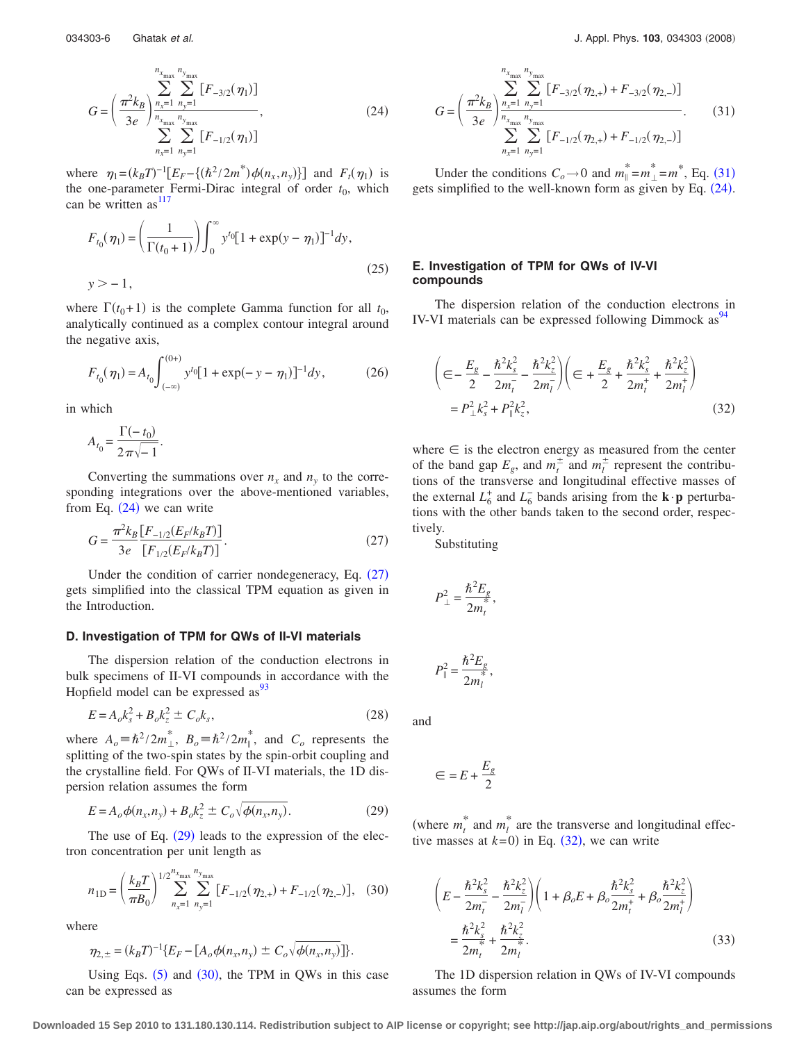<span id="page-5-0"></span>

$$
G = \left(\frac{\pi^2 k_B}{3e}\right) \sum_{\substack{n_x=1 \ n_y=1}}^{n_{x_{\text{max}}}} \sum_{\substack{n_y=1 \ n_y=n}}^{n_{x_{\text{max}}}} [F_{-3/2}(\eta_1)]
$$
\n
$$
\sum_{n_x=1}^{n_{x_{\text{max}}}} \sum_{n_y=1}^{n_{y_{\text{max}}}} [F_{-1/2}(\eta_1)]
$$
\n(24)

where  $\eta_1 = (k_B T)^{-1} [E_F - \{(h^2/2m^*) \phi(n_x, n_y)\}]$  and  $F_t(\eta_1)$  is the one-parameter Fermi-Dirac integral of order  $t_0$ , which can be written as  $117$ 

$$
F_{t_0}(\eta_1) = \left(\frac{1}{\Gamma(t_0 + 1)}\right) \int_0^\infty y^{t_0} [1 + \exp(y - \eta_1)]^{-1} dy,
$$
  

$$
y > -1,
$$
 (25)

where  $\Gamma(t_0+1)$  is the complete Gamma function for all  $t_0$ , analytically continued as a complex contour integral around the negative axis,

$$
F_{t_0}(\eta_1) = A_{t_0} \int_{(-\infty)}^{(0+)} y^{t_0} [1 + \exp(-y - \eta_1)]^{-1} dy,
$$
 (26)

in which

$$
A_{t_0} = \frac{\Gamma(-t_0)}{2\pi\sqrt{-1}}.
$$

Converting the summations over  $n_x$  and  $n_y$  to the corresponding integrations over the above-mentioned variables, from Eq.  $(24)$  $(24)$  $(24)$  we can write

<span id="page-5-1"></span>
$$
G = \frac{\pi^2 k_B \left[ F_{-1/2}(E_F / k_B T) \right]}{3e \left[ F_{1/2}(E_F / k_B T) \right]}.
$$
\n(27)

Under the condition of carrier nondegeneracy, Eq.  $(27)$  $(27)$  $(27)$ gets simplified into the classical TPM equation as given in the Introduction.

## **D. Investigation of TPM for QWs of II-VI materials**

The dispersion relation of the conduction electrons in bulk specimens of II-VI compounds in accordance with the Hopfield model can be expressed as  $\frac{93}{3}$ 

$$
E = A_o k_s^2 + B_o k_z^2 \pm C_o k_s,
$$
\n(28)

where  $A_o \equiv \hbar^2 / 2m_{\perp}^*$ ,  $B_o \equiv \hbar^2 / 2m_{\parallel}^*$ , and  $C_o$  represents the splitting of the two-spin states by the spin-orbit coupling and the crystalline field. For QWs of II-VI materials, the 1D dispersion relation assumes the form

$$
E = A_o \phi(n_x, n_y) + B_o k_z^2 \pm C_o \sqrt{\phi(n_x, n_y)}.
$$
 (29)

<span id="page-5-2"></span>The use of Eq.  $(29)$  $(29)$  $(29)$  leads to the expression of the electron concentration per unit length as

<span id="page-5-3"></span>
$$
n_{1D} = \left(\frac{k_B T}{\pi B_0}\right)^{1/2} \sum_{n_x=1}^{n_{x_{\text{max}}}} \sum_{n_y=1}^{n_{y_{\text{max}}}} [F_{-1/2}(\eta_{2,+}) + F_{-1/2}(\eta_{2,-})], \quad (30)
$$

where

$$
\eta_{2,\pm} = (k_B T)^{-1} \{ E_F - [A_o \phi(n_x, n_y) \pm C_o \sqrt{\phi(n_x, n_y)}] \}.
$$

Using Eqs.  $(5)$  $(5)$  $(5)$  and  $(30)$  $(30)$  $(30)$ , the TPM in QWs in this case can be expressed as

<span id="page-5-4"></span>
$$
G = \left(\frac{\pi^2 k_B}{3e}\right) \sum_{\substack{n_x=1 \ n_y=1}}^{n_{x_{\text{max}}} n_{y_{\text{max}}}} \sum_{\substack{n_y=1}}^{n_{y_{\text{max}}}} [F_{-3/2}(\eta_{2,+}) + F_{-3/2}(\eta_{2,-})] \over \sum_{n_x=1}^{n_{x_{\text{max}}} n_{y_{\text{max}}}} [F_{-1/2}(\eta_{2,+}) + F_{-1/2}(\eta_{2,-})]}. \tag{31}
$$

Under the conditions  $C_o \rightarrow 0$  and  $m_{\parallel}^* = m_{\perp}^* = m^*$ , Eq. ([31](#page-5-4)) gets simplified to the well-known form as given by Eq. ([24](#page-5-0)).

## **E. Investigation of TPM for QWs of IV-VI compounds**

The dispersion relation of the conduction electrons in IV-VI materials can be expressed following Dimmock as  $\frac{94}{4}$ 

<span id="page-5-5"></span>
$$
\left(\in -\frac{E_g}{2} - \frac{\hbar^2 k_s^2}{2m_t^2} - \frac{\hbar^2 k_z^2}{2m_l^2}\right)\left(\infty + \frac{E_g}{2} + \frac{\hbar^2 k_s^2}{2m_t^2} + \frac{\hbar^2 k_z^2}{2m_l^2}\right)
$$
\n
$$
= P_\perp^2 k_s^2 + P_\parallel^2 k_z^2,
$$
\n(32)

where  $\in$  is the electron energy as measured from the center of the band gap  $E_g$ , and  $m_t^{\pm}$  and  $m_l^{\pm}$  represent the contributions of the transverse and longitudinal effective masses of the external  $L_6^+$  and  $L_6^-$  bands arising from the **k** $\cdot$ **p** perturbations with the other bands taken to the second order, respectively.

Substituting

$$
P_{\perp}^2 = \frac{\hbar^2 E_g}{2m_t^*},
$$

 $P_{\parallel}^2 = \frac{\hbar^2 E_g}{2}$  $\frac{2m_{l}^{2}}{2m_{l}^{2}},$ 

and

$$
\in=E+\frac{E_g}{2}
$$

(where  $m_t^*$  and  $m_l^*$  are the transverse and longitudinal effective masses at  $k=0$ ) in Eq.  $(32)$  $(32)$  $(32)$ , we can write

<span id="page-5-6"></span>
$$
\left(E - \frac{\hbar^2 k_s^2}{2m_t^2} - \frac{\hbar^2 k_z^2}{2m_l^2}\right)\left(1 + \beta_o E + \beta_o \frac{\hbar^2 k_s^2}{2m_t^2} + \beta_o \frac{\hbar^2 k_z^2}{2m_l^2}\right)
$$
  
= 
$$
\frac{\hbar^2 k_s^2}{2m_t^2} + \frac{\hbar^2 k_z^2}{2m_l^2}.
$$
 (33)

The 1D dispersion relation in QWs of IV-VI compounds assumes the form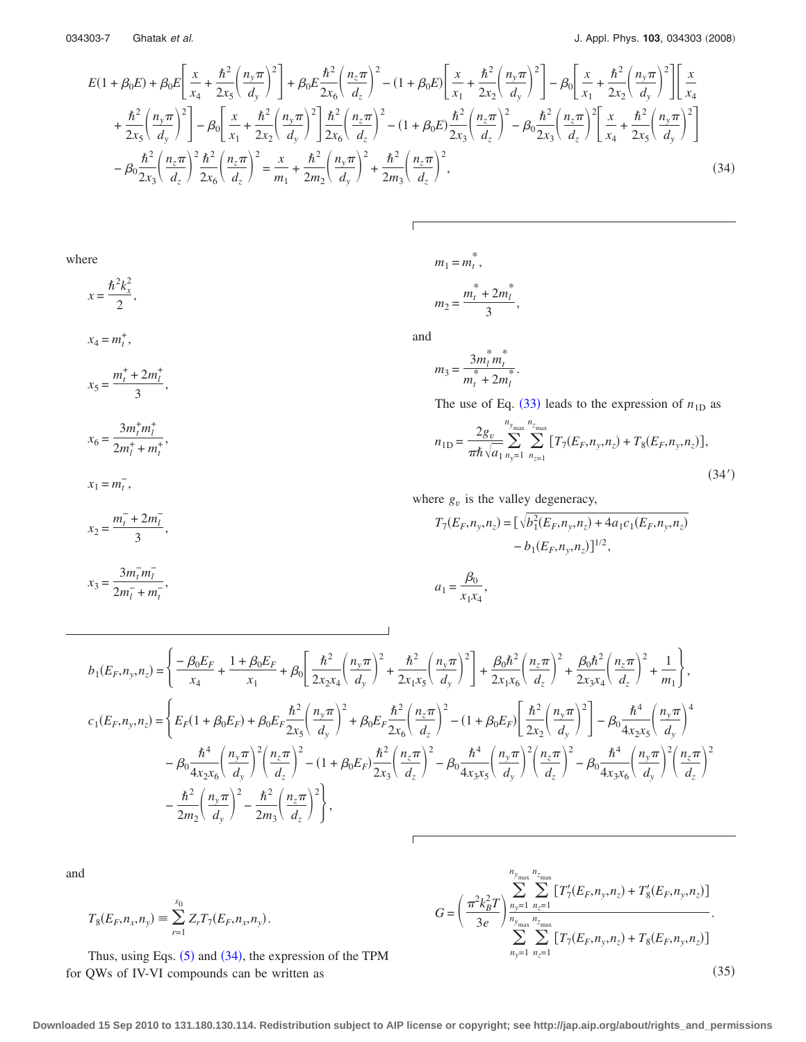<span id="page-6-0"></span>
$$
E(1+\beta_{0}E)+\beta_{0}E\left[\frac{x}{x_{4}}+\frac{\hbar^{2}}{2x_{5}}\left(\frac{n_{y}\pi}{d_{y}}\right)^{2}\right]+\beta_{0}E\frac{\hbar^{2}}{2x_{6}}\left(\frac{n_{z}\pi}{d_{z}}\right)^{2}-(1+\beta_{0}E)\left[\frac{x}{x_{1}}+\frac{\hbar^{2}}{2x_{2}}\left(\frac{n_{y}\pi}{d_{y}}\right)^{2}\right]-\beta_{0}\left[\frac{x}{x_{1}}+\frac{\hbar^{2}}{2x_{2}}\left(\frac{n_{y}\pi}{d_{y}}\right)^{2}\right]\left[\frac{x}{x_{4}}+\frac{\hbar^{2}}{2x_{5}}\left(\frac{n_{y}\pi}{d_{y}}\right)^{2}\right]-\beta_{0}\left[\frac{x}{x_{1}}+\frac{\hbar^{2}}{2x_{2}}\left(\frac{n_{y}\pi}{d_{y}}\right)^{2}\right]-\beta_{0}\left[\frac{x}{x_{1}}+\frac{\hbar^{2}}{2x_{2}}\left(\frac{n_{y}\pi}{d_{y}}\right)^{2}\right]-\beta_{0}\left[\frac{x}{x_{1}}+\frac{\hbar^{2}}{2x_{2}}\left(\frac{n_{y}\pi}{d_{y}}\right)^{2}\right]\frac{\hbar^{2}}{2x_{6}}\left(\frac{n_{z}\pi}{d_{z}}\right)^{2}-(1+\beta_{0}E)\frac{\hbar^{2}}{2x_{3}}\left(\frac{n_{z}\pi}{d_{z}}\right)^{2}-\beta_{0}\frac{\hbar^{2}}{2x_{3}}\left(\frac{n_{z}\pi}{d_{z}}\right)^{2}\left[\frac{x}{x_{4}}+\frac{\hbar^{2}}{2x_{5}}\left(\frac{n_{y}\pi}{d_{y}}\right)^{2}\right]
$$
\n
$$
-\beta_{0}\frac{\hbar^{2}}{2x_{3}}\left(\frac{n_{z}\pi}{d_{z}}\right)^{2}\frac{\hbar^{2}}{2x_{6}}\left(\frac{n_{z}\pi}{d_{z}}\right)^{2}=\frac{x}{m_{1}}+\frac{\hbar^{2}}{2m_{2}}\left(\frac{n_{y}\pi}{d_{y}}\right)^{2}+\frac{\hbar^{2}}{2m_{3}}\left(\frac{n_{z}\pi}{d_{z}}\right)^{2},\tag{34}
$$

wher

 $x_4 = m_t^+,$ 

 $x_5 = \frac{m_t^+ + 2m_l^+}{2}$ 

 $x_6 = \frac{3m_t^+ m_l^+}{2m_t^+ m_l^+}$  $\frac{2m_t^2 + m_t^2}{2m_l^2 + m_t^2}$ 

 $x_1 = m_t^-,$ 

 $\frac{1}{3}$ ,

re  
\n
$$
m_1 = m_t^*
$$
,  
\n $m_2 = \frac{m_t^* + 2m_l^*}{3}$ ,

and

$$
m_3 = \frac{3m_l^*m_l^*}{m_l^* + 2m_l^*}.
$$

The use of Eq.  $(33)$  $(33)$  $(33)$  leads to the expression of  $n_{1D}$  as

$$
n_{1D} = \frac{2g_v}{\pi \hbar} \sum_{\sqrt{a_1}}^{\frac{n_{y_{\text{max}}}}{2}} \sum_{n_{z=1}}^{\frac{n_{z_{\text{max}}}}{2}} \left[ T_7(E_F, n_y, n_z) + T_8(E_F, n_y, n_z) \right],\tag{34'}
$$

where  $g_v$  is the valley degeneracy,

$$
x_2 = \frac{m_t^- + 2m_l^-}{3},
$$
  
\n
$$
T_7(E_F, n_y, n_z) = [\sqrt{b_1^2(E_F, n_y, n_z) + 4a_1c_1(E_F, n_y, n_z)}
$$
  
\n
$$
-b_1(E_F, n_y, n_z)]^{1/2},
$$

$$
x_3 = \frac{3m_t^- m_l^-}{2m_l^- + m_t^-}, \qquad a_1 = \frac{\beta_0}{x_1 x_4},
$$

$$
b_{1}(E_{F},n_{y},n_{z}) = \left\{ \frac{-\beta_{0}E_{F}}{x_{4}} + \frac{1+\beta_{0}E_{F}}{x_{1}} + \beta_{0} \left[ \frac{\hbar^{2}}{2x_{2}x_{4}} \left( \frac{n_{y}\pi}{d_{y}} \right)^{2} + \frac{\hbar^{2}}{2x_{1}x_{5}} \left( \frac{n_{y}\pi}{d_{y}} \right)^{2} \right] + \frac{\beta_{0}\hbar^{2}}{2x_{1}x_{6}} \left( \frac{n_{z}\pi}{d_{z}} \right)^{2} + \frac{\beta_{0}\hbar^{2}}{2x_{3}x_{4}} \left( \frac{n_{z}\pi}{d_{z}} \right)^{2} + \frac{1}{m_{1}} \right\},
$$
  
\n
$$
c_{1}(E_{F},n_{y},n_{z}) = \left\{ E_{F}(1+\beta_{0}E_{F}) + \beta_{0}E_{F} \frac{\hbar^{2}}{2x_{5}} \left( \frac{n_{y}\pi}{d_{y}} \right)^{2} + \beta_{0}E_{F} \frac{\hbar^{2}}{2x_{6}} \left( \frac{n_{z}\pi}{d_{z}} \right)^{2} - (1+\beta_{0}E_{F}) \left[ \frac{\hbar^{2}}{2x_{2}} \left( \frac{n_{y}\pi}{d_{y}} \right)^{2} \right] - \beta_{0} \frac{\hbar^{4}}{4x_{2}x_{5}} \left( \frac{n_{y}\pi}{d_{y}} \right)^{4} - \beta_{0} \frac{\hbar^{4}}{4x_{2}x_{6}} \left( \frac{n_{y}\pi}{d_{y}} \right)^{2} \left( \frac{n_{z}\pi}{d_{z}} \right)^{2} - (1+\beta_{0}E_{F}) \frac{\hbar^{2}}{2x_{3}} \left( \frac{n_{z}\pi}{d_{z}} \right)^{2} - \beta_{0} \frac{\hbar^{4}}{4x_{3}x_{5}} \left( \frac{n_{y}\pi}{d_{y}} \right)^{2} \left( \frac{n_{z}\pi}{d_{z}} \right)^{2} - \beta_{0} \frac{\hbar^{4}}{4x_{3}x_{6}} \left( \frac{n_{y}\pi}{d_{y}} \right)^{2} \left( \frac{n_{z}\pi}{d_{z}} \right)^{2} - \frac{\hbar^{2}}{2m_{2}} \left( \frac{n_{y}\pi}{d_{y
$$

and

$$
T_8(E_F, n_x, n_y) \equiv \sum_{r=1}^{s_0} Z_r T_7(E_F, n_x, n_y).
$$

Thus, using Eqs.  $(5)$  $(5)$  $(5)$  and  $(34)$  $(34)$  $(34)$ , the expression of the TPM for QWs of IV-VI compounds can be written as

<span id="page-6-1"></span>
$$
G = \left(\frac{\pi^2 k_B^2 T}{3e} \right) \sum_{n_y=1}^{n_y_{\text{max}}} \sum_{n_z=1}^{n_z_{\text{max}}} \left[ T'_7(E_F, n_y, n_z) + T'_8(E_F, n_y, n_z) \right] \cdot \sum_{n_y=1}^{n_z_{\text{max}}} \sum_{n_z=1}^{n_z_{\text{max}}} \left[ T_7(E_F, n_y, n_z) + T_8(E_F, n_y, n_z) \right] \cdot \tag{35}
$$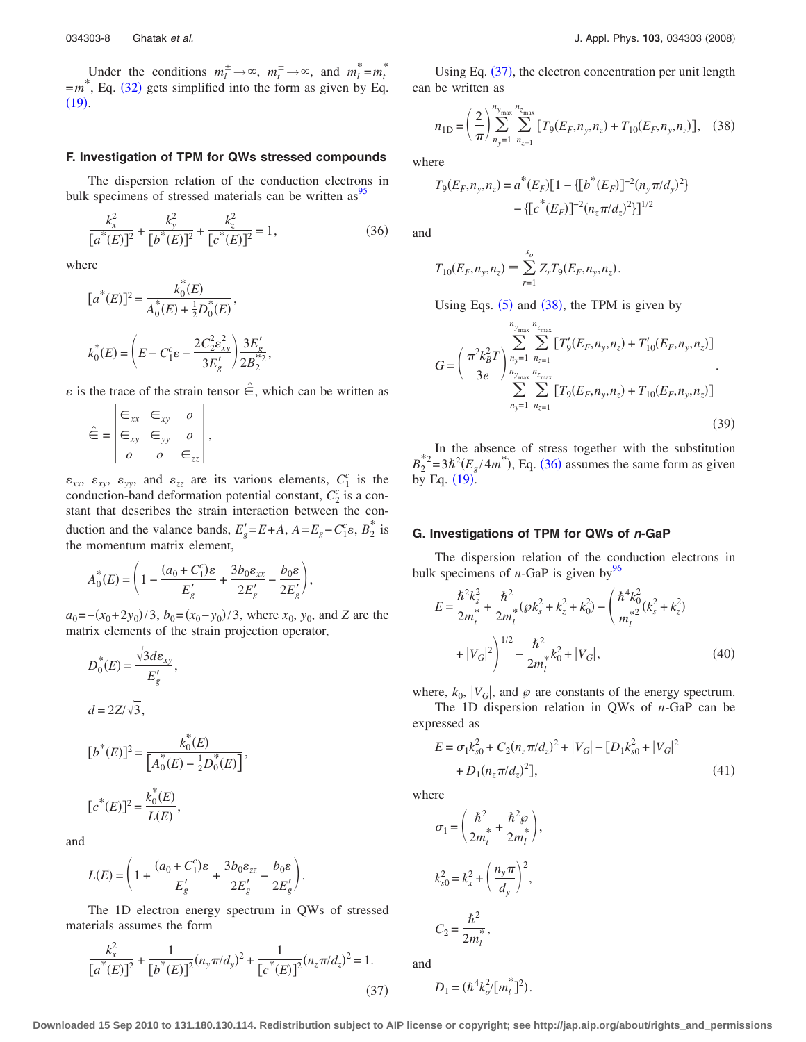Under the conditions  $m_l^{\pm} \to \infty$ ,  $m_l^{\pm} \to \infty$ , and  $m_l^* = m_l^*$  $=m^*$ , Eq. ([32](#page-5-5)) gets simplified into the form as given by Eq.  $(19).$  $(19).$  $(19).$ 

### **F. Investigation of TPM for QWs stressed compounds**

The dispersion relation of the conduction electrons in bulk specimens of stressed materials can be written as  $95$ 

<span id="page-7-2"></span>
$$
\frac{k_x^2}{[a^*(E)]^2} + \frac{k_y^2}{[b^*(E)]^2} + \frac{k_z^2}{[c^*(E)]^2} = 1,
$$
\n(36)

where

$$
[a^*(E)]^2 = \frac{k_0^*(E)}{A_0^*(E) + \frac{1}{2}D_0^*(E)},
$$
  

$$
k_0^*(E) = \left(E - C_1^c \varepsilon - \frac{2C_2^2 \varepsilon_{xy}^2}{3E_g'}\right) \frac{3E_g'}{2B_2^*},
$$

 $\varepsilon$  is the trace of the strain tensor  $\hat{\in}$ , which can be written as

$$
\hat{\epsilon} = \begin{vmatrix} \epsilon_{xx} & \epsilon_{xy} & o \\ \epsilon_{xy} & \epsilon_{yy} & o \\ o & o & \epsilon_{zz} \end{vmatrix},
$$

 $\varepsilon_{xx}$ ,  $\varepsilon_{xy}$ ,  $\varepsilon_{yy}$ , and  $\varepsilon_{zz}$  are its various elements,  $C_1^c$  is the conduction-band deformation potential constant,  $C_2^c$  is a constant that describes the strain interaction between the conduction and the valance bands,  $E'_{g} = E + \overline{A}$ ,  $\overline{A} = E_{g} - C_{1}^{c} \varepsilon$ ,  $B_{2}^{*}$  is the momentum matrix element,

$$
A_0^*(E) = \left(1 - \frac{(a_0 + C_1^c)\varepsilon}{E_g'} + \frac{3b_0\varepsilon_{xx}}{2E_g'} - \frac{b_0\varepsilon}{2E_g'}\right),
$$

 $a_0 = -(x_0 + 2y_0)/3$ ,  $b_0 = (x_0 - y_0)/3$ , where  $x_0$ ,  $y_0$ , and *Z* are the matrix elements of the strain projection operator,

$$
D_0^*(E) = \frac{\sqrt{3}d\varepsilon_{xy}}{E'_g},
$$
  
\n
$$
d = 2Z/\sqrt{3},
$$
  
\n
$$
[b^*(E)]^2 = \frac{k_0^*(E)}{[A_0^*(E) - \frac{1}{2}D_0^*(E)]},
$$
  
\n
$$
[c^*(E)]^2 = \frac{k_0^*(E)}{L(E)},
$$

and

$$
L(E) = \left(1 + \frac{(a_0 + C_1^c)\varepsilon}{E_g'} + \frac{3b_0\varepsilon_{zz}}{2E_g'} - \frac{b_0\varepsilon}{2E_g'}\right).
$$

The 1D electron energy spectrum in QWs of stressed materials assumes the form

<span id="page-7-0"></span>
$$
\frac{k_x^2}{[a^*(E)]^2} + \frac{1}{[b^*(E)]^2} (n_y \pi / d_y)^2 + \frac{1}{[c^*(E)]^2} (n_z \pi / d_z)^2 = 1.
$$
\n(37)

Using Eq. ([37](#page-7-0)), the electron concentration per unit length can be written as

<span id="page-7-1"></span>
$$
n_{1D} = \left(\frac{2}{\pi}\right) \sum_{n_y=1}^{n_{y_{\text{max}}}} \sum_{n_{z=1}}^{n_{z_{\text{max}}}} \left[ T_9(E_F, n_y, n_z) + T_{10}(E_F, n_y, n_z) \right], \quad (38)
$$

where

$$
T_9(E_F, n_y, n_z) = a^*(E_F)[1 - \{[b^*(E_F)]^{-2}(n_y \pi/d_y)^2\} - \{[c^*(E_F)]^{-2}(n_z \pi/d_z)^2\}]^{1/2}
$$

and

$$
T_{10}(E_F, n_y, n_z) \equiv \sum_{r=1}^{s_o} Z_r T_9(E_F, n_y, n_z).
$$

Using Eqs.  $(5)$  $(5)$  $(5)$  and  $(38)$  $(38)$  $(38)$ , the TPM is given by

<span id="page-7-5"></span>
$$
G = \left(\frac{\pi^2 k_B^2 T}{3e}\right) \sum_{n_y=1}^{n_{y_{\text{max}}}} \sum_{n_{z=1}}^{n_{z_{\text{max}}}} \left[ T'_9(E_F, n_y, n_z) + T'_{10}(E_F, n_y, n_z) \right] \times \sum_{n_y=1}^{n_{z_{\text{max}}}} \sum_{n_{z=1}}^{n_{z_{\text{max}}}} \left[ T_9(E_F, n_y, n_z) + T_{10}(E_F, n_y, n_z) \right] \tag{39}
$$

In the absence of stress together with the substitution  $B_2^{*2} = 3\hbar^2 (E_g/4m^*)$ , Eq. ([36](#page-7-2)) assumes the same form as given by Eq.  $(19)$  $(19)$  $(19)$ .

#### **G. Investigations of TPM for QWs of** *n***-GaP**

The dispersion relation of the conduction electrons in bulk specimens of  $n$ -GaP is given by<sup>96</sup>

<span id="page-7-4"></span>
$$
E = \frac{\hbar^2 k_s^2}{2m_t^*} + \frac{\hbar^2}{2m_l^*} (\wp k_s^2 + k_z^2 + k_0^2) - \left(\frac{\hbar^4 k_0^2}{m_l^*} (k_s^2 + k_z^2) + |V_G|^2\right)^{1/2} - \frac{\hbar^2}{2m_l^*} k_0^2 + |V_G|,\tag{40}
$$

where,  $k_0$ ,  $|V_G|$ , and  $\varphi$  are constants of the energy spectrum.

The 1D dispersion relation in QWs of *n*-GaP can be expressed as

<span id="page-7-3"></span>
$$
E = \sigma_1 k_{s0}^2 + C_2 (n_z \pi / d_z)^2 + |V_G| - [D_1 k_{s0}^2 + |V_G|^2
$$
  
+  $D_1 (n_z \pi / d_z)^2$ ], (41)

where

$$
\sigma_1 = \left(\frac{\hbar^2}{2m_t^*} + \frac{\hbar^2 \varphi}{2m_l^*}\right),\,
$$
  

$$
k_{s0}^2 = k_x^2 + \left(\frac{n_y \pi}{d_y}\right)^2,
$$

and

$$
D_1 = (\hbar^4 k_o^2 / [m_l^*]^2).
$$

 $C_2 = \frac{\hbar^2}{2m}$  $\frac{n}{2m_l^*}$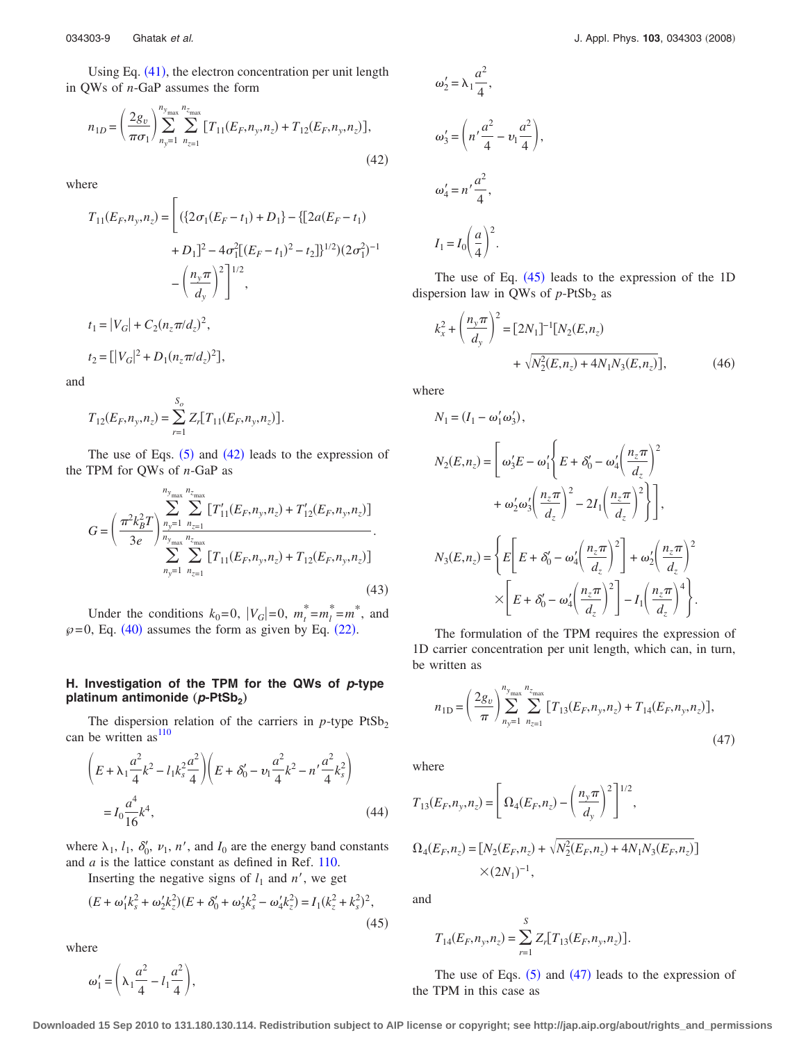Using Eq. ([41](#page-7-3)), the electron concentration per unit length in QWs of *n*-GaP assumes the form

<span id="page-8-0"></span>
$$
n_{1D} = \left(\frac{2g_v}{\pi\sigma_1}\right) \sum_{n_y=1}^{n_{y_{\text{max}}}} \sum_{n_{z=1}}^{n_{z_{\text{max}}}} \left[T_{11}(E_F, n_y, n_z) + T_{12}(E_F, n_y, n_z)\right],\tag{42}
$$

where

$$
T_{11}(E_F, n_y, n_z) = \left[ (\{2\sigma_1(E_F - t_1) + D_1\} - \{[2a(E_F - t_1) + D_1]^2 - 4\sigma_1^2[(E_F - t_1)^2 - t_2]\}^{1/2})(2\sigma_1^2)^{-1} - \left(\frac{n_y \pi}{d_y}\right)^2 \right]^{1/2},
$$
  

$$
t_1 = |V_G| + C_2(n_z \pi/d_z)^2,
$$

 $t_2 = [ |V_G|^2 + D_1(n_z \pi / d_z)^2 ],$ 

and

$$
T_{12}(E_F, n_y, n_z) = \sum_{r=1}^{S_o} Z_r [T_{11}(E_F, n_y, n_z)].
$$

The use of Eqs.  $(5)$  $(5)$  $(5)$  and  $(42)$  $(42)$  $(42)$  leads to the expression of the TPM for QWs of *n*-GaP as

<span id="page-8-3"></span>
$$
G = \left(\frac{\pi^2 k_B^2 T}{3e}\right) \sum_{n_y=1}^{n_{y_{\text{max}}}} \sum_{n_{z=1}}^{n_{z_{\text{max}}}} \left[T'_{11}(E_F, n_y, n_z) + T'_{12}(E_F, n_y, n_z)\right] \cdot \sum_{n_y=1}^{n_{z=1}} \sum_{n_{z=1}}^{n_{z_{\text{max}}}} \left[T_{11}(E_F, n_y, n_z) + T_{12}(E_F, n_y, n_z)\right] \cdot (43)
$$

Under the conditions  $k_0=0$ ,  $|V_G|=0$ ,  $m_t^* = m_l^* = m^*$ , and  $\varphi$ =0, Eq. ([40](#page-7-4)) assumes the form as given by Eq. ([22](#page-4-6)).

## **H. Investigation of the TPM for the QWs of** *p***-type platinum antimonide** (*p*-PtSb<sub>2</sub>)

The dispersion relation of the carriers in  $p$ -type  $PtSb<sub>2</sub>$ can be written  $as<sup>110</sup>$ 

$$
\left(E + \lambda_1 \frac{a^2}{4} k^2 - l_1 k_s^2 \frac{a^2}{4} \right) \left(E + \delta'_0 - v_1 \frac{a^2}{4} k^2 - n' \frac{a^2}{4} k_s^2 \right)
$$

$$
= I_0 \frac{a^4}{16} k^4,
$$
(44)

where  $\lambda_1$ ,  $l_1$ ,  $\delta'_0$ ,  $\nu_1$ ,  $n'$ , and  $l_0$  are the energy band constants and *a* is the lattice constant as defined in Ref. [110.](#page-20-9)

Inserting the negative signs of  $l_1$  and  $n'$ , we get

<span id="page-8-1"></span>
$$
(E + \omega_1' k_s^2 + \omega_2' k_z^2)(E + \delta_0' + \omega_3' k_s^2 - \omega_4' k_z^2) = I_1(k_z^2 + k_s^2)^2,
$$
\n(45)

where

 $\omega'_1 = \left(\lambda_1 \frac{a^2}{4}\right)$  $\frac{1}{4} - l_1$  $\left(\frac{a^2}{4}\right),$ 

$$
\omega'_2 = \lambda_1 \frac{a^2}{4},
$$
  
\n
$$
\omega'_3 = \left(n'\frac{a^2}{4} - \nu_1 \frac{a^2}{4}\right),
$$
  
\n
$$
\omega'_4 = n'\frac{a^2}{4},
$$
  
\n
$$
I_1 = I_0 \left(\frac{a}{4}\right)^2.
$$

The use of Eq.  $(45)$  $(45)$  $(45)$  leads to the expression of the 1D dispersion law in QWs of  $p$ -PtSb<sub>2</sub> as

$$
k_x^2 + \left(\frac{n_y \pi}{d_y}\right)^2 = [2N_1]^{-1} [N_2(E, n_z) + \sqrt{N_2^2(E, n_z) + 4N_1 N_3(E, n_z)}],
$$
 (46)

where

$$
N_1 = (I_1 - \omega'_1 \omega'_3),
$$
  
\n
$$
N_2(E, n_z) = \left[\omega'_3 E - \omega'_1 \left\{ E + \delta'_0 - \omega'_4 \left( \frac{n_z \pi}{d_z} \right)^2 + \omega'_2 \omega'_3 \left( \frac{n_z \pi}{d_z} \right)^2 - 2I_1 \left( \frac{n_z \pi}{d_z} \right)^2 \right\} \right],
$$
  
\n
$$
N_3(E, n_z) = \left\{ E \left[ E + \delta'_0 - \omega'_4 \left( \frac{n_z \pi}{d_z} \right)^2 \right] + \omega'_2 \left( \frac{n_z \pi}{d_z} \right)^2 \right.
$$
  
\n
$$
\times \left[ E + \delta'_0 - \omega'_4 \left( \frac{n_z \pi}{d_z} \right)^2 \right] - I_1 \left( \frac{n_z \pi}{d_z} \right)^4 \right\}.
$$

The formulation of the TPM requires the expression of 1D carrier concentration per unit length, which can, in turn, be written as

<span id="page-8-2"></span>
$$
n_{1D} = \left(\frac{2g_v}{\pi}\right) \sum_{n_y=1}^{n_{y_{\text{max}}}} \sum_{n_{z=1}}^{n_{z_{\text{max}}}} \left[ T_{13}(E_F, n_y, n_z) + T_{14}(E_F, n_y, n_z) \right],\tag{47}
$$

where

$$
T_{13}(E_F, n_y, n_z) = \left[\Omega_4(E_F, n_z) - \left(\frac{n_y \pi}{d_y}\right)^2\right]^{1/2},
$$
  

$$
\Omega_4(E_F, n_z) = [N_2(E_F, n_z) + \sqrt{N_2^2(E_F, n_z) + 4N_1 N_3(E_F, n_z)}]
$$
  

$$
\times (2N_1)^{-1},
$$

and

$$
T_{14}(E_F, n_y, n_z) = \sum_{r=1}^{S} Z_r [T_{13}(E_F, n_y, n_z)].
$$

The use of Eqs.  $(5)$  $(5)$  $(5)$  and  $(47)$  $(47)$  $(47)$  leads to the expression of the TPM in this case as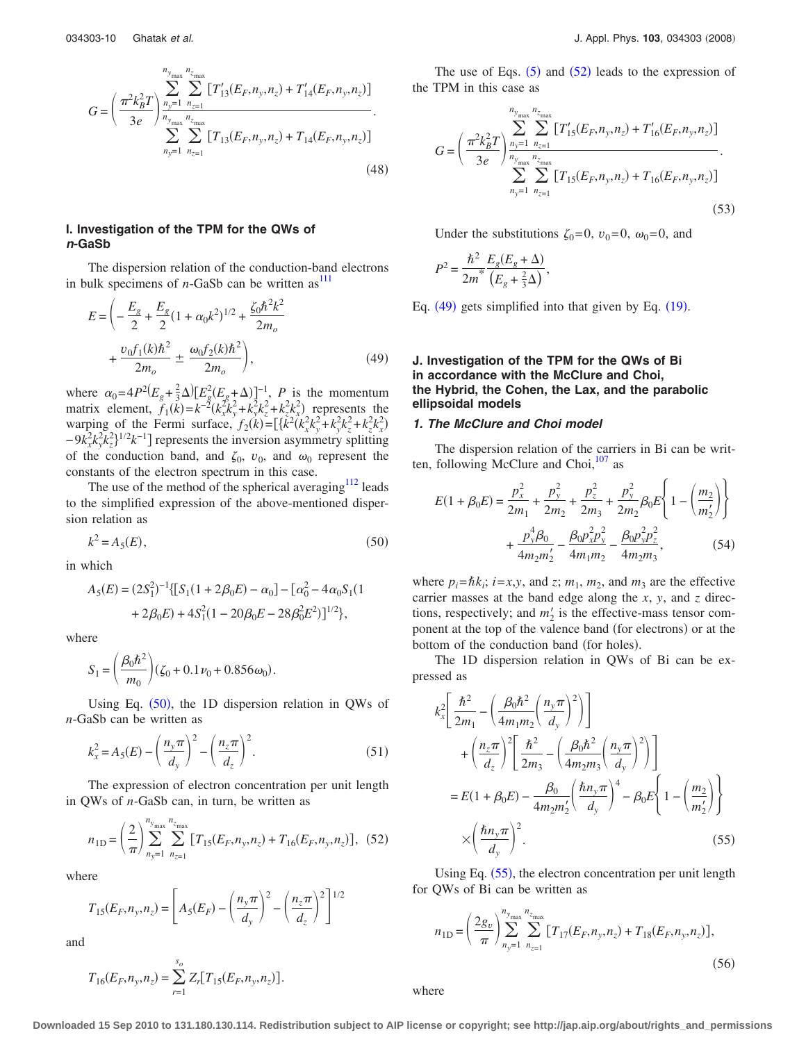<span id="page-9-6"></span>
$$
G = \left(\frac{\pi^2 k_B^2 T}{3e}\right) \sum_{n_y=1}^{n_y_{\text{max}}} \sum_{n_{z=1}}^{n_{z_{\text{max}}}} \left[ T'_{13}(E_F, n_y, n_z) + T'_{14}(E_F, n_y, n_z) \right] \times \sum_{n_y=1}^{n_{z_{\text{max}}}} \sum_{n_{z=1}}^{n_{z_{\text{max}}}} \left[ T_{13}(E_F, n_y, n_z) + T_{14}(E_F, n_y, n_z) \right] \tag{48}
$$

## **I. Investigation of the TPM for the QWs of** *n***-GaSb**

The dispersion relation of the conduction-band electrons in bulk specimens of  $n$ -GaSb can be written as<sup>111</sup>

<span id="page-9-2"></span>
$$
E = \left( -\frac{E_g}{2} + \frac{E_g}{2} (1 + \alpha_0 k^2)^{1/2} + \frac{\zeta_0 \hbar^2 k^2}{2m_o} + \frac{v_0 f_1(k) \hbar^2}{2m_o} \pm \frac{\omega_0 f_2(k) \hbar^2}{2m_o} \right),
$$
(49)

where  $\alpha_0 = 4P^2(E_g + \frac{2}{3}\Delta)[E_g^2(E_g + \Delta)]^{-1}$ , *P* is the momentum matrix element,  $f_1(k) = k^{-2} (k_x k_y^2 + k_y k_z^2 + k_z k_x^2)$  represents the warping of the Fermi surface,  $f_2(k) = [\{\tilde{k}^2(k_x^2k_y^2 + k_y^2k_z^2 + k_z^2k_x^2)\}$  $-9k_x^2k_y^2k_z^2$ <sup>1/2</sup> $k^{-1}$ ] represents the inversion asymmetry splitting of the conduction band, and  $\zeta_0$ ,  $v_0$ , and  $\omega_0$  represent the constants of the electron spectrum in this case.

The use of the method of the spherical averaging $112$  leads to the simplified expression of the above-mentioned dispersion relation as

$$
k^2 = A_5(E),\tag{50}
$$

<span id="page-9-0"></span>in which

$$
A_5(E) = (2S_1^2)^{-1} \{ [S_1(1 + 2\beta_0 E) - \alpha_0] - [\alpha_0^2 - 4\alpha_0 S_1(1 + 2\beta_0 E) + 4S_1^2(1 - 20\beta_0 E - 28\beta_0^2 E^2)]^{1/2} \},
$$

where

$$
S_1 = \left(\frac{\beta_0 \hbar^2}{m_0}\right) (\zeta_0 + 0.1 \nu_0 + 0.856 \omega_0).
$$

Using Eq.  $(50)$  $(50)$  $(50)$ , the 1D dispersion relation in QWs of *n*-GaSb can be written as

$$
k_x^2 = A_5(E) - \left(\frac{n_y \pi}{d_y}\right)^2 - \left(\frac{n_z \pi}{d_z}\right)^2.
$$
 (51)

The expression of electron concentration per unit length in QWs of *n*-GaSb can, in turn, be written as

<span id="page-9-1"></span>
$$
n_{1D} = \left(\frac{2}{\pi}\right)^{n_{y_{\text{max}}}} \sum_{n_{z=1}}^{n_{z_{\text{max}}}} \left[T_{15}(E_F, n_y, n_z) + T_{16}(E_F, n_y, n_z)\right], (52)
$$

where

$$
T_{15}(E_F, n_y, n_z) = \left[A_5(E_F) - \left(\frac{n_y \pi}{d_y}\right)^2 - \left(\frac{n_z \pi}{d_z}\right)^2\right]^{1/2}
$$

and

$$
T_{16}(E_F, n_y, n_z) = \sum_{r=1}^{s_o} Z_r [T_{15}(E_F, n_y, n_z)].
$$

The use of Eqs.  $(5)$  $(5)$  $(5)$  and  $(52)$  $(52)$  $(52)$  leads to the expression of the TPM in this case as

<span id="page-9-7"></span>
$$
G = \left(\frac{\pi^2 k_B^2 T}{3e} \right) \sum_{n_y=1}^{n_{y_{\text{max}}}} \sum_{n_{z=1}}^{n_{z_{\text{max}}}} \left[ T'_{15}(E_F, n_y, n_z) + T'_{16}(E_F, n_y, n_z) \right] \cdot \sum_{n_y=1}^{n_{y_{\text{max}}}} \sum_{n_{z=1}}^{n_{z_{\text{max}}}} \left[ T_{15}(E_F, n_y, n_z) + T_{16}(E_F, n_y, n_z) \right] \cdot \tag{53}
$$

Under the substitutions  $\zeta_0=0$ ,  $v_0=0$ ,  $\omega_0=0$ , and

$$
P^2 = \frac{\hbar^2}{2m^*} \frac{E_g(E_g + \Delta)}{(E_g + \frac{2}{3}\Delta)},
$$

Eq.  $(49)$  $(49)$  $(49)$  gets simplified into that given by Eq.  $(19)$  $(19)$  $(19)$ .

## **J. Investigation of the TPM for the QWs of Bi in accordance with the McClure and Choi, the Hybrid, the Cohen, the Lax, and the parabolic ellipsoidal models**

#### *1. The McClure and Choi model*

The dispersion relation of the carriers in Bi can be written, following McClure and Choi,<sup>107</sup> as

<span id="page-9-5"></span>
$$
E(1 + \beta_0 E) = \frac{p_x^2}{2m_1} + \frac{p_y^2}{2m_2} + \frac{p_z^2}{2m_3} + \frac{p_y^2}{2m_2} \beta_0 E \left\{ 1 - \left(\frac{m_2}{m_2'}\right) \right\}
$$

$$
+ \frac{p_y^4 \beta_0}{4m_2 m_2'} - \frac{\beta_0 p_x^2 p_y^2}{4m_1 m_2} - \frac{\beta_0 p_y^2 p_z^2}{4m_2 m_3},
$$
(54)

where  $p_i = \hbar k_i$ ;  $i = x, y$ , and *z*;  $m_1$ ,  $m_2$ , and  $m_3$  are the effective carrier masses at the band edge along the *x*, *y*, and *z* directions, respectively; and  $m'_2$  is the effective-mass tensor component at the top of the valence band (for electrons) or at the bottom of the conduction band (for holes).

The 1D dispersion relation in QWs of Bi can be expressed as

<span id="page-9-3"></span>
$$
k_x^2 \left[ \frac{\hbar^2}{2m_1} - \left( \frac{\beta_0 \hbar^2}{4m_1 m_2} \left( \frac{n_y \pi}{d_y} \right)^2 \right) \right]
$$
  
+ 
$$
\left( \frac{n_z \pi}{d_z} \right)^2 \left[ \frac{\hbar^2}{2m_3} - \left( \frac{\beta_0 \hbar^2}{4m_2 m_3} \left( \frac{n_y \pi}{d_y} \right)^2 \right) \right]
$$
  
= 
$$
E(1 + \beta_0 E) - \frac{\beta_0}{4m_2 m_2'} \left( \frac{\hbar n_y \pi}{d_y} \right)^4 - \beta_0 E \left\{ 1 - \left( \frac{m_2}{m_2'} \right) \right\}
$$
  

$$
\times \left( \frac{\hbar n_y \pi}{d_y} \right)^2.
$$
 (55)

Using Eq. ([55](#page-9-3)), the electron concentration per unit length for QWs of Bi can be written as

<span id="page-9-4"></span>
$$
n_{\text{1D}} = \left(\frac{2g_v}{\pi}\right) \sum_{n_y=1}^{n_{y_{\text{max}}}} \sum_{n_{z=1}}^{n_{z_{\text{max}}}} \left[ T_{17}(E_F, n_y, n_z) + T_{18}(E_F, n_y, n_z) \right],\tag{56}
$$

where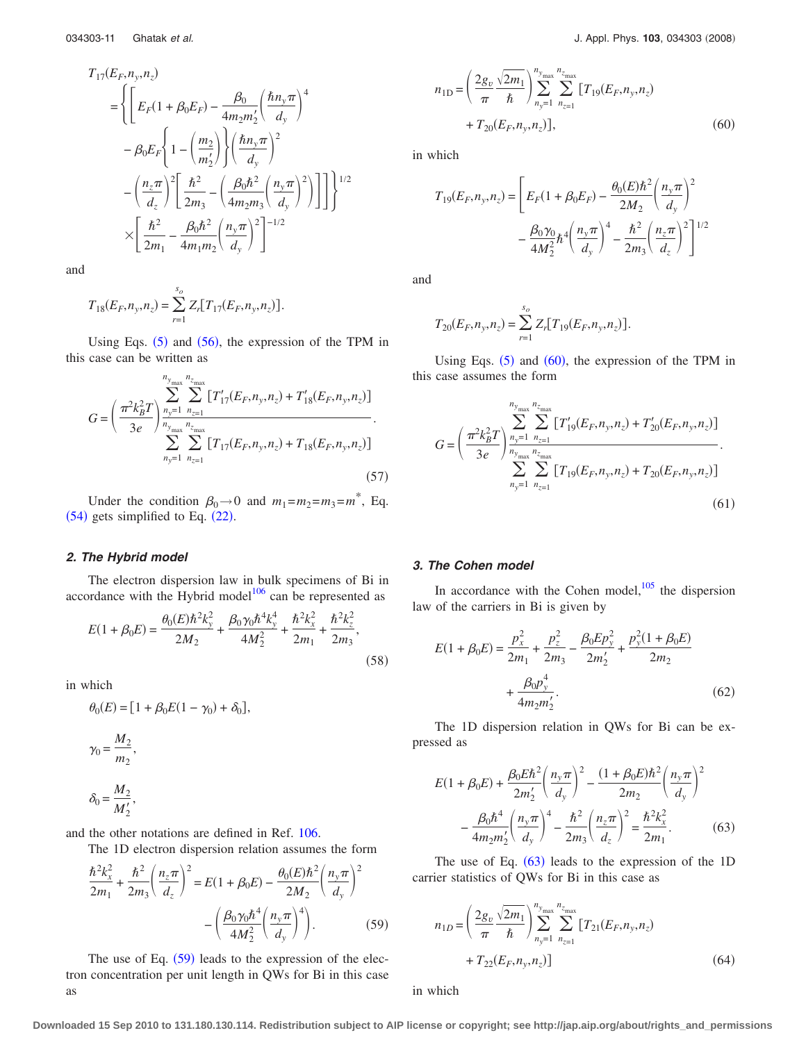$$
T_{17}(E_F, n_y, n_z)
$$
\n
$$
= \left\{ \left[ E_F(1 + \beta_0 E_F) - \frac{\beta_0}{4m_2 m_2'} \left( \frac{\hbar n_y \pi}{d_y} \right)^4 - \beta_0 E_F \left\{ 1 - \left( \frac{m_2}{m_2'} \right) \right\} \left( \frac{\hbar n_y \pi}{d_y} \right)^2 - \left( \frac{n_z \pi}{d_z} \right)^2 \left[ \frac{\hbar^2}{2m_3} - \left( \frac{\beta_0 \hbar^2}{4m_2 m_3} \left( \frac{n_y \pi}{d_y} \right)^2 \right) \right] \right\}^{1/2}
$$
\n
$$
\times \left[ \frac{\hbar^2}{2m_1} - \frac{\beta_0 \hbar^2}{4m_1 m_2} \left( \frac{n_y \pi}{d_y} \right)^2 \right]^{-1/2}
$$

and

$$
T_{18}(E_F, n_y, n_z) = \sum_{r=1}^{s_o} Z_r [T_{17}(E_F, n_y, n_z)].
$$

Using Eqs.  $(5)$  $(5)$  $(5)$  and  $(56)$  $(56)$  $(56)$ , the expression of the TPM in this case can be written as

$$
G = \left(\frac{\pi^2 k_B^2 T}{3e}\right) \sum_{n_y=1}^{n_{y_{\text{max}}}} \sum_{n_{z=1}}^{n_{z_{\text{max}}}} \left[ T'_{17}(E_F, n_y, n_z) + T'_{18}(E_F, n_y, n_z) \right] \cdot \sum_{n_y=1}^{n_{z=1}} \sum_{n_{z=1}}^{n_{z_{\text{max}}}} \left[ T_{17}(E_F, n_y, n_z) + T_{18}(E_F, n_y, n_z) \right] \cdot (57)
$$

Under the condition  $\beta_0 \rightarrow 0$  and  $m_1 = m_2 = m_3 = m^*$ , Eq.  $(54)$  $(54)$  $(54)$  gets simplified to Eq.  $(22)$  $(22)$  $(22)$ .

# *2. The Hybrid model*

The electron dispersion law in bulk specimens of Bi in accordance with the Hybrid model $106$  can be represented as

$$
E(1 + \beta_0 E) = \frac{\theta_0(E)\hbar^2 k_y^2}{2M_2} + \frac{\beta_0 \gamma_0 \hbar^4 k_y^4}{4M_2^2} + \frac{\hbar^2 k_x^2}{2m_1} + \frac{\hbar^2 k_z^2}{2m_3},
$$
\n(58)

in which

$$
\theta_0(E) = [1 + \beta_0 E(1 - \gamma_0) + \delta_0],
$$
  

$$
\gamma_0 = \frac{M_2}{m_2},
$$
  

$$
\delta_0 = \frac{M_2}{M'_2},
$$

and the other notations are defined in Ref. [106.](#page-20-20)

The 1D electron dispersion relation assumes the form

<span id="page-10-0"></span>
$$
\frac{\hbar^2 k_x^2}{2m_1} + \frac{\hbar^2}{2m_3} \left( \frac{n_z \pi}{d_z} \right)^2 = E(1 + \beta_0 E) - \frac{\theta_0 (E) \hbar^2}{2M_2} \left( \frac{n_y \pi}{d_y} \right)^2 - \left( \frac{\beta_0 \gamma_0 \hbar^4}{4M_2^2} \left( \frac{n_y \pi}{d_y} \right)^4 \right). \tag{59}
$$

The use of Eq.  $(59)$  $(59)$  $(59)$  leads to the expression of the electron concentration per unit length in QWs for Bi in this case as

<span id="page-10-1"></span>
$$
n_{1D} = \left(\frac{2g_v}{\pi} \frac{\sqrt{2m_1}}{\hbar}\right) \sum_{n_y=1}^{n_y} \sum_{n_{z=1}}^{n_{z_{\text{max}}}} \left[T_{19}(E_F, n_y, n_z)\right] + T_{20}(E_F, n_y, n_z), \tag{60}
$$

in which

$$
T_{19}(E_F, n_y, n_z) = \left[ E_F (1 + \beta_0 E_F) - \frac{\theta_0(E) \hbar^2}{2M_2} \left( \frac{n_y \pi}{d_y} \right)^2 - \frac{\beta_0 \gamma_0}{4M_2^2} \hbar^4 \left( \frac{n_y \pi}{d_y} \right)^4 - \frac{\hbar^2}{2m_3} \left( \frac{n_z \pi}{d_z} \right)^2 \right]^{1/2}
$$

and

$$
T_{20}(E_F, n_y, n_z) = \sum_{r=1}^{s_o} Z_r [T_{19}(E_F, n_y, n_z)].
$$

Using Eqs.  $(5)$  $(5)$  $(5)$  and  $(60)$  $(60)$  $(60)$ , the expression of the TPM in this case assumes the form

$$
G = \left(\frac{\pi^2 k_B^2 T}{3e}\right) \sum_{n_y=1}^{n_{y_{\text{max}}}} \sum_{n_{z=1}}^{n_{z_{\text{max}}}} \left[ T'_{19}(E_F, n_y, n_z) + T'_{20}(E_F, n_y, n_z) \right] \cdot \sum_{n_y=1}^{n_{z_{\text{max}}}} \sum_{n_{z=1}}^{n_{z_{\text{max}}}} \left[ T_{19}(E_F, n_y, n_z) + T_{20}(E_F, n_y, n_z) \right] \cdot (61)
$$

## *3. The Cohen model*

In accordance with the Cohen model, $\frac{105}{105}$  the dispersion law of the carriers in Bi is given by

$$
E(1 + \beta_0 E) = \frac{p_x^2}{2m_1} + \frac{p_z^2}{2m_3} - \frac{\beta_0 E p_y^2}{2m_2'} + \frac{p_y^2 (1 + \beta_0 E)}{2m_2} + \frac{\beta_0 p_y^4}{4m_2 m_2'}.
$$
 (62)

The 1D dispersion relation in QWs for Bi can be expressed as

<span id="page-10-2"></span>
$$
E(1 + \beta_0 E) + \frac{\beta_0 E h^2}{2m'_2} \left(\frac{n_y \pi}{d_y}\right)^2 - \frac{(1 + \beta_0 E) h^2}{2m_2} \left(\frac{n_y \pi}{d_y}\right)^2 - \frac{\beta_0 h^4}{4m_2 m'_2} \left(\frac{n_y \pi}{d_y}\right)^4 - \frac{h^2}{2m_3} \left(\frac{n_z \pi}{d_z}\right)^2 = \frac{h^2 k_x^2}{2m_1}.
$$
 (63)

The use of Eq.  $(63)$  $(63)$  $(63)$  leads to the expression of the 1D carrier statistics of QWs for Bi in this case as

<span id="page-10-3"></span>
$$
n_{1D} = \left(\frac{2g_v}{\pi} \frac{\sqrt{2m_1}}{\hbar}\right) \sum_{n_y=1}^{n_{y_{\text{max}}}} \sum_{n_{z=1}}^{n_{z_{\text{max}}}} [T_{21}(E_F, n_y, n_z)] + T_{22}(E_F, n_y, n_z)] \tag{64}
$$

in which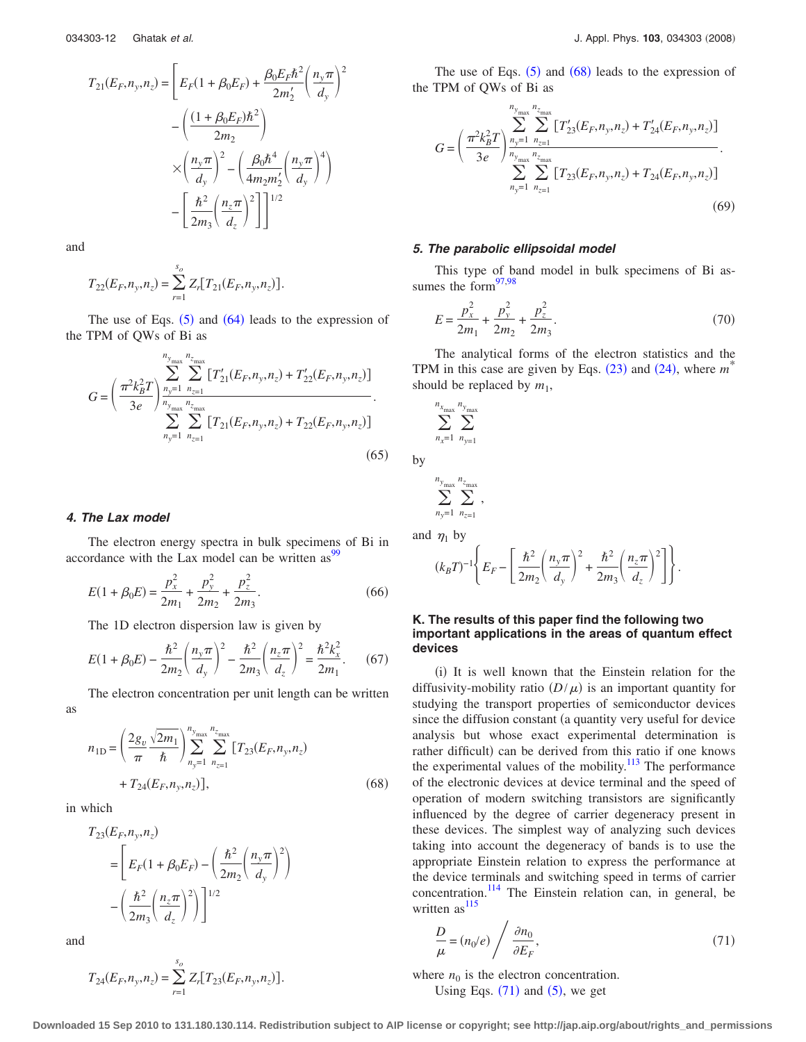$$
T_{21}(E_F, n_y, n_z) = \left[ E_F(1 + \beta_0 E_F) + \frac{\beta_0 E_F \hbar^2}{2m'_2} \left( \frac{n_y \pi}{d_y} \right)^2 - \left( \frac{(1 + \beta_0 E_F) \hbar^2}{2m_2} \right) \times \left( \frac{n_y \pi}{d_y} \right)^2 - \left( \frac{\beta_0 \hbar^4}{4m_2 m'_2} \left( \frac{n_y \pi}{d_y} \right)^4 \right) - \left[ \frac{\hbar^2}{2m_3} \left( \frac{n_z \pi}{d_z} \right)^2 \right] \right]^{1/2}
$$

and

$$
T_{22}(E_F, n_y, n_z) = \sum_{r=1}^{s_o} Z_r [T_{21}(E_F, n_y, n_z)].
$$

The use of Eqs.  $(5)$  $(5)$  $(5)$  and  $(64)$  $(64)$  $(64)$  leads to the expression of the TPM of QWs of Bi as

$$
G = \left(\frac{\pi^2 k_B^2 T}{3e}\right) \sum_{n_y=1}^{n_{y_{\text{max}}}} \sum_{n_{z=1}}^{n_{z_{\text{max}}}} \left[T'_{21}(E_F, n_y, n_z) + T'_{22}(E_F, n_y, n_z)\right] \cdot \sum_{n_y=1}^{n_{z_{\text{max}}}} \sum_{n_{z=1}}^{n_{z_{\text{max}}}} \left[T_{21}(E_F, n_y, n_z) + T_{22}(E_F, n_y, n_z)\right] \cdot (65)
$$

## *4. The Lax model*

The electron energy spectra in bulk specimens of Bi in accordance with the Lax model can be written as  $\frac{99}{99}$ 

$$
E(1 + \beta_0 E) = \frac{p_x^2}{2m_1} + \frac{p_y^2}{2m_2} + \frac{p_z^2}{2m_3}.
$$
 (66)

The 1D electron dispersion law is given by

$$
E(1 + \beta_0 E) - \frac{\hbar^2}{2m_2} \left(\frac{n_y \pi}{d_y}\right)^2 - \frac{\hbar^2}{2m_3} \left(\frac{n_z \pi}{d_z}\right)^2 = \frac{\hbar^2 k_x^2}{2m_1}.
$$
 (67)

The electron concentration per unit length can be written

$$
n_{1D} = \left(\frac{2g_v}{\pi} \frac{\sqrt{2m_1}}{\hbar}\right) \sum_{n_y=1}^{n_y} \sum_{n_{z=1}}^{n_{z_{\text{max}}}} \left[T_{23}(E_F, n_y, n_z)\right] + T_{24}(E_F, n_y, n_z)],
$$
\n(68)

in which

<span id="page-11-0"></span>as

$$
T_{23}(E_F, n_y, n_z)
$$
  
=  $\left[ E_F(1 + \beta_0 E_F) - \left( \frac{\hbar^2}{2m_2} \left( \frac{n_y \pi}{d_y} \right)^2 \right) - \left( \frac{\hbar^2}{2m_3} \left( \frac{n_z \pi}{d_z} \right)^2 \right) \right]^{1/2}$ 

and

$$
T_{24}(E_F, n_y, n_z) = \sum_{r=1}^{s_o} Z_r [T_{23}(E_F, n_y, n_z)].
$$

The use of Eqs.  $(5)$  $(5)$  $(5)$  and  $(68)$  $(68)$  $(68)$  leads to the expression of the TPM of QWs of Bi as

$$
G = \left(\frac{\pi^2 k_B^2 T}{3e}\right) \sum_{n_y=1}^{n_y_{\text{max}}} \sum_{n_{z=1}}^{n_{z_{\text{max}}}} \left[ T'_{23}(E_F, n_y, n_z) + T'_{24}(E_F, n_y, n_z) \right] \cdot \sum_{n_y=1}^{n_y_{\text{max}}} \sum_{n_{z=1}}^{n_{z_{\text{max}}}} \left[ T_{23}(E_F, n_y, n_z) + T_{24}(E_F, n_y, n_z) \right] \cdot (69)
$$

#### *5. The parabolic ellipsoidal model*

This type of band model in bulk specimens of Bi assumes the form $\frac{97,98}{90}$  $\frac{97,98}{90}$  $\frac{97,98}{90}$ 

$$
E = \frac{p_x^2}{2m_1} + \frac{p_y^2}{2m_2} + \frac{p_z^2}{2m_3}.
$$
 (70)

The analytical forms of the electron statistics and the TPM in this case are given by Eqs.  $(23)$  $(23)$  $(23)$  and  $(24)$  $(24)$  $(24)$ , where  $m^*$ should be replaced by  $m_1$ ,

$$
\sum_{n_x=1}^{n_{x_{\max}}} \sum_{n_{y=1}}^{n_{y_{\max}}}
$$

by

$$
\sum_{n_y=1}^{n_{y_{\max}}} \sum_{n_{z=1}}^{n_{z_{\max}}},
$$

and  $\eta_1$  by

$$
(k_B T)^{-1} \Biggl\{ E_F - \Biggl[ \frac{\hbar^2}{2m_2} \Biggl( \frac{n_y \pi}{d_y} \Biggr)^2 + \frac{\hbar^2}{2m_3} \Biggl( \frac{n_z \pi}{d_z} \Biggr)^2 \Biggr] \Biggr\}.
$$

## **K. The results of this paper find the following two important applications in the areas of quantum effect devices**

(i) It is well known that the Einstein relation for the diffusivity-mobility ratio  $(D/\mu)$  is an important quantity for studying the transport properties of semiconductor devices since the diffusion constant (a quantity very useful for device analysis but whose exact experimental determination is rather difficult) can be derived from this ratio if one knows the experimental values of the mobility. $113$  The performance of the electronic devices at device terminal and the speed of operation of modern switching transistors are significantly influenced by the degree of carrier degeneracy present in these devices. The simplest way of analyzing such devices taking into account the degeneracy of bands is to use the appropriate Einstein relation to express the performance at the device terminals and switching speed in terms of carrier concentration[.114](#page-20-26) The Einstein relation can, in general, be written  $as<sup>115</sup>$ 

<span id="page-11-1"></span>
$$
\frac{D}{\mu} = (n_0/e) / \frac{\partial n_0}{\partial E_F},
$$
\n(71)

where  $n_0$  is the electron concentration. Using Eqs.  $(71)$  $(71)$  $(71)$  and  $(5)$  $(5)$  $(5)$ , we get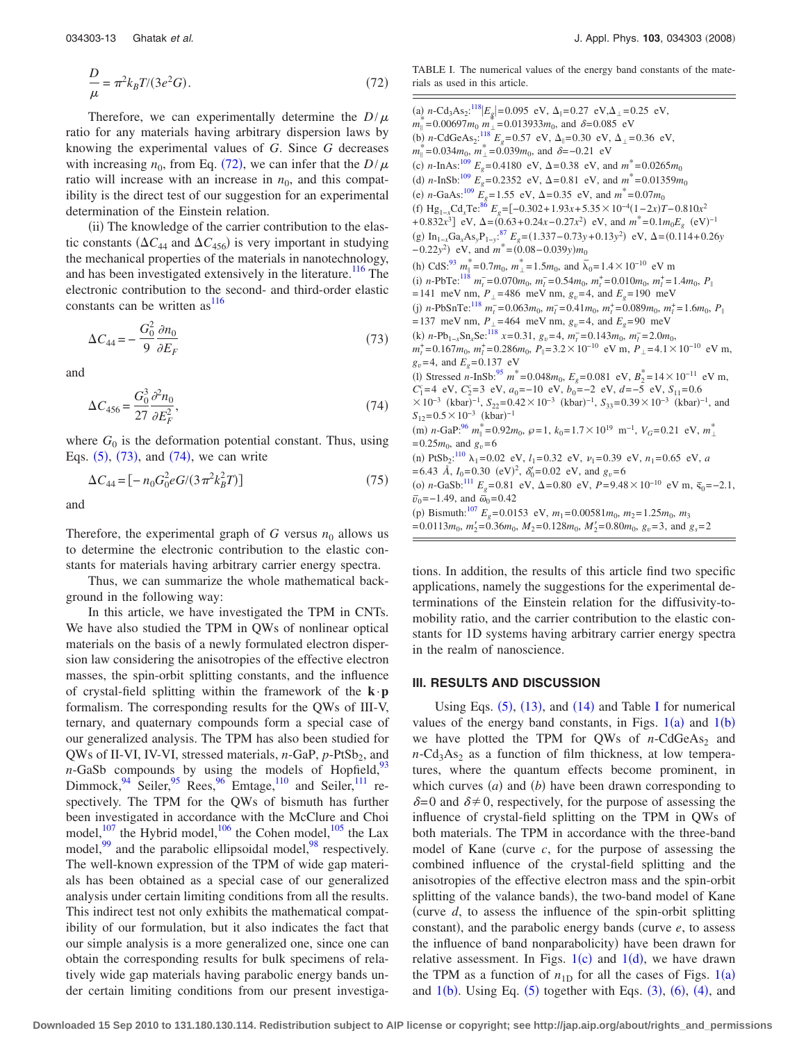<span id="page-12-0"></span>
$$
\frac{D}{\mu} = \pi^2 k_B T / (3e^2 G). \tag{72}
$$

Therefore, we can experimentally determine the  $D/\mu$ ratio for any materials having arbitrary dispersion laws by knowing the experimental values of *G*. Since *G* decreases with increasing  $n_0$ , from Eq. ([72](#page-12-0)), we can infer that the *D*/ $\mu$ ratio will increase with an increase in  $n_0$ , and this compatibility is the direct test of our suggestion for an experimental determination of the Einstein relation.

(ii) The knowledge of the carrier contribution to the elastic constants ( $\Delta C_{44}$  and  $\Delta C_{456}$ ) is very important in studying the mechanical properties of the materials in nanotechnology, and has been investigated extensively in the literature.<sup>116</sup> The electronic contribution to the second- and third-order elastic constants can be written  $as<sup>116</sup>$ 

<span id="page-12-1"></span>
$$
\Delta C_{44} = -\frac{G_0^2}{9} \frac{\partial n_0}{\partial E_F} \tag{73}
$$

<span id="page-12-2"></span>and

$$
\Delta C_{456} = \frac{G_0^3}{27} \frac{\partial^2 n_0}{\partial E_F^2},\tag{74}
$$

where  $G_0$  is the deformation potential constant. Thus, using Eqs.  $(5)$  $(5)$  $(5)$ ,  $(73)$  $(73)$  $(73)$ , and  $(74)$  $(74)$  $(74)$ , we can write

$$
\Delta C_{44} = \left[ -n_0 G_0^2 e G / (3 \pi^2 k_B^2 T) \right] \tag{75}
$$

and

Therefore, the experimental graph of  $G$  versus  $n_0$  allows us to determine the electronic contribution to the elastic constants for materials having arbitrary carrier energy spectra.

Thus, we can summarize the whole mathematical background in the following way:

In this article, we have investigated the TPM in CNTs. We have also studied the TPM in QWs of nonlinear optical materials on the basis of a newly formulated electron dispersion law considering the anisotropies of the effective electron masses, the spin-orbit splitting constants, and the influence of crystal-field splitting within the framework of the **k**·**p** formalism. The corresponding results for the QWs of III-V, ternary, and quaternary compounds form a special case of our generalized analysis. The TPM has also been studied for QWs of II-VI, IV-VI, stressed materials, *n*-GaP, *p*-PtSb<sub>2</sub>, and  $n$ -GaSb compounds by using the models of Hopfield,  $93$ Dimmock,  $94 \text{ Seiler}, 95 \text{Rees}, 96 \text{Emtage}, 110 \text{ and Seiler}, 111 \text{re-}$ spectively. The TPM for the QWs of bismuth has further been investigated in accordance with the McClure and Choi model, $107$  the Hybrid model, $106$  the Cohen model,  $105$  the Lax model,<sup>99</sup> and the parabolic ellipsoidal model,<sup>98</sup> respectively. The well-known expression of the TPM of wide gap materials has been obtained as a special case of our generalized analysis under certain limiting conditions from all the results. This indirect test not only exhibits the mathematical compatibility of our formulation, but it also indicates the fact that our simple analysis is a more generalized one, since one can obtain the corresponding results for bulk specimens of relatively wide gap materials having parabolic energy bands under certain limiting conditions from our present investiga<span id="page-12-3"></span>TABLE I. The numerical values of the energy band constants of the materials as used in this article.

(a)  $n\text{-Cd}_3\text{As}_2$ :<sup>[118](#page-20-29)</sup> $|E_g|=0.095$  eV,  $\Delta_{\parallel}=0.27$  eV,  $\Delta_{\perp}=0.25$  eV,  $m_{\parallel}^* = 0.00697m_0$   $m_{\perp}^* = 0.013933m_0$ , and  $\delta = 0.085$  eV (b) *n*-CdGeAs<sub>2</sub>:<sup>[118](#page-20-29)</sup>  $E_g$ =0.57 eV,  $\Delta_{\parallel}$ =0.30 eV,  $\Delta_{\perp}$ =0.36 eV,  $m_{\parallel}^* = 0.034 m_0, m_{\perp}^* = 0.039 m_0$ , and  $\delta = -0.21$  eV (c) *n*-InAs:<sup>109</sup>  $E_g = 0.4180$  eV,  $\Delta = 0.38$  eV, and  $m^* = 0.0265 m_0$ (d) *n*-InSb:<sup>109</sup>  $E_g$ =0.2352 eV,  $\Delta$ =0.81 eV, and  $m^*$ =0.01359 $m_0$ (e) *n*-GaAs:<sup>109</sup>  $\tilde{E}_g = 1.55$  eV,  $\Delta = 0.35$  eV, and  $m^* = 0.07m_0$  $f(x)$  Hg<sub>1−*x*</sub>Cd<sub>*x*</sub>Te:<sup>[86](#page-19-68)</sup>  $E_g$ =[−0.302+1.93*x*+5.35 × 10<sup>−4</sup>(1−2*x*)*T*−0.810*x*<sup>2</sup> + $0.832x^3$ ] eV,  $\Delta = (0.63 + 0.24x - 0.27x^2)$  eV, and  $m^* = 0.1m_0E_g$  (eV)<sup>-1</sup>  $(g)$  In<sub>1−*x*</sub>Ga<sub>*x*</sub>As<sub>*y*</sub>P<sub>1−*y*</sub>:<sup>[87](#page-19-69)</sup>  $E_g = (1.337 - 0.73y + 0.13y^2)$  eV,  $\Delta = (0.114 + 0.26y)$  $(-0.22y^2)$  eV, and  $m^* = (0.08 - 0.039y)m_0$ (h) CdS:<sup>[93](#page-20-5)</sup>  $m_{\parallel}^* = 0.7m_0$ ,  $m_{\perp}^* = 1.5m_0$ , and  $\overline{\lambda}_0 = 1.4 \times 10^{-10}$  eV m (i) *n*-PbTe:<sup>118</sup>  $m_t^-$ =0.070 $m_0$ ,  $m_l^-$ =0.54 $m_0$ ,  $m_t^+$ =0.010 $m_0$ ,  $m_l^+$ =1.4 $m_0$ ,  $P_{\parallel}$  $= 141$  meV nm,  $P_{\perp} = 486$  meV nm,  $g_v = 4$ , and  $E_g = 190$  meV (j) *n*-PbSnTe:<sup>118</sup>  $m_t^-$ =0.063 $m_0$ ,  $m_l^-$ =0.41 $m_0$ ,  $m_t^+$ =0.089 $m_0$ ,  $m_l^+$ =1.6 $m_0$ ,  $P_{\parallel}$  $= 137$  meV nm,  $P_1 = 464$  meV nm,  $g_v = 4$ , and  $E_e = 90$  meV  $(k)$  *n*-Pb<sub>1−*x*</sub>Sn<sub>*x*</sub>Se:<sup>[118](#page-20-29)</sup> *x*=0.31,  $g_v$ =4,  $m_t^-$ =0.143 $m_0$ ,  $m_t^-$ =2.0 $m_0$ ,  $m_t^+$ =0.167 $m_0$ ,  $m_l^+$ =0.286 $m_0$ ,  $P_{\parallel}$ =3.2 × 10<sup>-10</sup> eV m,  $P_{\perp}$ =4.1 × 10<sup>-10</sup> eV m,  $g_v = 4$ , and  $E_e = 0.137$  eV (1) Stressed *n*-InSb:<sup>95</sup>  $m^* = 0.048m_0$ ,  $E_g = 0.081$  eV,  $B_2^* = 14 \times 10^{-11}$  eV m,  $C_1^c = 4$  eV,  $C_2^c = 3$  eV,  $a_0 = -10$  eV,  $b_0 = -2$  eV,  $d = -5$  eV,  $S_{11} = 0.6$  $\times 10^{-3}$  (kbar)<sup>-1</sup>,  $S_{22} = 0.42 \times 10^{-3}$  (kbar)<sup>-1</sup>,  $S_{33} = 0.39 \times 10^{-3}$  (kbar)<sup>-1</sup>, and  $S_{12} = 0.5 \times 10^{-3}$  (kbar)<sup>-1</sup>  $(m)$  *n*-GaP:<sup>96</sup>  $m_{\parallel}^* = 0.92m_0$ ,  $\wp = 1$ ,  $k_0 = 1.7 \times 10^{19}$  m<sup>-1</sup>,  $V_G = 0.21$  eV,  $m_{\perp}^*$  $= 0.25 m_0$ , and  $g_v = 6$ (n) PtSb<sub>2</sub>:<sup>[110](#page-20-9)</sup>  $\lambda_1 = 0.02$  eV,  $l_1 = 0.32$  eV,  $\nu_1 = 0.39$  eV,  $n_1 = 0.65$  eV, *a*  $= 6.43$  Å,  $I_0 = 0.30$  (eV)<sup>2</sup>,  $\delta'_0 = 0.02$  eV, and  $g_v = 6$ (o) *n*-GaSb:<sup>111</sup>  $E_g$ =0.81 eV,  $\Delta$ =0.80 eV,  $P = 9.48 \times 10^{-10}$  eV m,  $\bar{s}_0$ =−2.1,  $\overline{v}_0 = -1.49$ , and  $\overline{\omega}_0 = 0.42$ (p) Bismuth:<sup>107</sup>  $E_g$ = 0.0153 eV,  $m_1$ = 0.00581 $m_0$ ,  $m_2$ = 1.25 $m_0$ ,  $m_3$  $= 0.0113m_0$ ,  $m'_2 = 0.36m_0$ ,  $M_2 = 0.128m_0$ ,  $M'_2 = 0.80m_0$ ,  $g_v = 3$ , and  $g_s = 2$ 

tions. In addition, the results of this article find two specific applications, namely the suggestions for the experimental determinations of the Einstein relation for the diffusivity-tomobility ratio, and the carrier contribution to the elastic constants for 1D systems having arbitrary carrier energy spectra in the realm of nanoscience.

#### **III. RESULTS AND DISCUSSION**

Using Eqs.  $(5)$  $(5)$  $(5)$ ,  $(13)$  $(13)$  $(13)$ , and  $(14)$  $(14)$  $(14)$  and Table [I](#page-12-3) for numerical values of the energy band constants, in Figs.  $1(a)$  $1(a)$  and  $1(b)$ we have plotted the TPM for QWs of  $n$ -CdGeAs<sub>2</sub> and  $n-\text{Cd}_3\text{As}_2$  as a function of film thickness, at low temperatures, where the quantum effects become prominent, in which curves  $(a)$  and  $(b)$  have been drawn corresponding to  $\delta = 0$  and  $\delta \neq 0$ , respectively, for the purpose of assessing the influence of crystal-field splitting on the TPM in QWs of both materials. The TPM in accordance with the three-band model of Kane (curve  $c$ , for the purpose of assessing the combined influence of the crystal-field splitting and the anisotropies of the effective electron mass and the spin-orbit splitting of the valance bands), the two-band model of Kane curve *d*, to assess the influence of the spin-orbit splitting constant), and the parabolic energy bands (curve *e*, to assess the influence of band nonparabolicity) have been drawn for relative assessment. In Figs.  $1(c)$  $1(c)$  and  $1(d)$ , we have drawn the TPM as a function of  $n_{1D}$  $n_{1D}$  $n_{1D}$  for all the cases of Figs.  $1(a)$ and  $1(b)$  $1(b)$ . Using Eq.  $(5)$  $(5)$  $(5)$  together with Eqs.  $(3)$  $(3)$  $(3)$ ,  $(6)$  $(6)$  $(6)$ ,  $(4)$  $(4)$  $(4)$ , and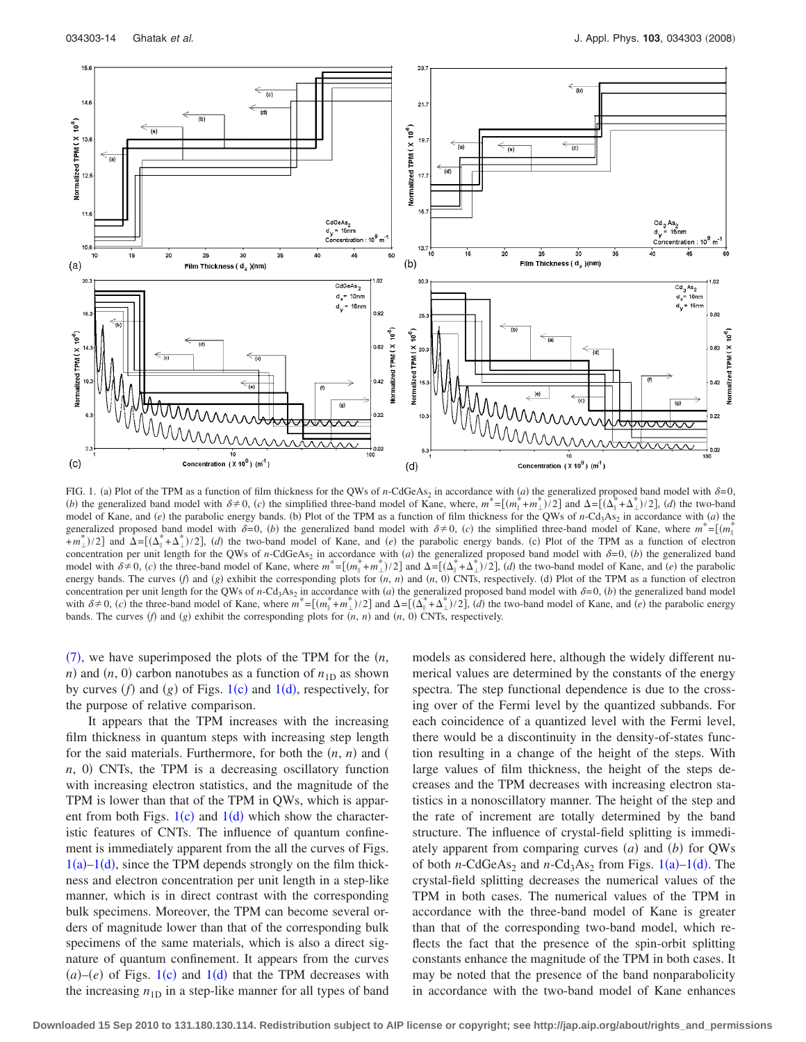<span id="page-13-0"></span>

FIG. 1. (a) Plot of the TPM as a function of film thickness for the QWs of *n*-CdGeAs<sub>2</sub> in accordance with  $\alpha$ ) the generalized proposed band model with  $\delta$ =0, *(b)* the generalized band model with  $\delta \neq 0$ , *(c)* the simplified three-band model of Kane, where,  $m^* = [(m_{\parallel}^* + m_{\perp}^*)/2]$  and  $\Delta = [(\Delta_{\parallel}^* + \Delta_{\perp}^*)/2]$ , *(d)* the two-band model of Kane, and *(e)* the parabolic energy bands. (b) Plot of the TPM as a function of film thickness for the QWs of *n*-Cd<sub>3</sub>As<sub>2</sub> in accordance with *(a)* the generalized proposed band model with  $\delta = 0$ , *(b)* the generalized band model with  $\delta \neq 0$ , *(c)* the simplified three-band model of Kane, where  $m^* = [(m^*_{\parallel} + m^*_{\perp})^2 + (m^*_{\perp})^2 + (m^*_{\perp})^2]$  $+m_{\perp}^*$ /2] and  $\Delta = [(\Delta_{\parallel}^* + \Delta_{\perp}^*)/2]$ , (d) the two-band model of Kane, and *(e)* the parabolic energy bands. (c) Plot of the TPM as a function of electron concentration per unit length for the QWs of *n*-CdGeAs<sub>2</sub> in accordance with (*a*) the generalized proposed band model with  $\delta = 0$ , (*b*) the generalized band model with  $\delta \neq 0$ , *(c)* the three-band model of Kane, where  $m^* = [(m_{\parallel}^* + m_{\perp}^*)/2]$  and  $\Delta = [(\Delta_{\parallel}^* + \Delta_{\perp}^*)/2]$ , *(d)* the two-band model of Kane, and *(e)* the parabolic energy bands. The curves (f) and  $(g)$  exhibit the corresponding plots for  $(n, n)$  and  $(n, 0)$  CNTs, respectively. (d) Plot of the TPM as a function of electron concentration per unit length for the QWs of *n*-Cd<sub>3</sub>As<sub>2</sub> in accordance with *(a)* the generalized proposed band model with  $\delta = 0$ , *(b)* the generalized band model with  $\delta \neq 0$ , *(c)* the three-band model of Kane, where  $m^* = [(m_{\parallel}^* + m_{\perp}^*)/2]$  and  $\Delta = [(\Delta_{\parallel}^* + \Delta_{\perp}^*)/2]$ , *(d)* the two-band model of Kane, and *(e)* the parabolic energy bands. The curves  $(f)$  and  $(g)$  exhibit the corresponding plots for  $(n, n)$  and  $(n, 0)$  CNTs, respectively.

([7](#page-3-5)), we have superimposed the plots of the TPM for the  $(n,$ *n*) and  $(n, 0)$  carbon nanotubes as a function of  $n_{1D}$  as shown by curves  $(f)$  and  $(g)$  of Figs. [1](#page-13-0)(c) and 1(d), respectively, for the purpose of relative comparison.

It appears that the TPM increases with the increasing film thickness in quantum steps with increasing step length for the said materials. Furthermore, for both the  $(n, n)$  and  $(n, n)$  $n$ , 0) CNTs, the TPM is a decreasing oscillatory function with increasing electron statistics, and the magnitude of the TPM is lower than that of the TPM in QWs, which is apparent from both Figs.  $1(c)$  $1(c)$  and  $1(d)$  which show the characteristic features of CNTs. The influence of quantum confinement is immediately apparent from the all the curves of Figs.  $1(a)-1(d)$  $1(a)-1(d)$ , since the TPM depends strongly on the film thickness and electron concentration per unit length in a step-like manner, which is in direct contrast with the corresponding bulk specimens. Moreover, the TPM can become several orders of magnitude lower than that of the corresponding bulk specimens of the same materials, which is also a direct signature of quantum confinement. It appears from the curves  $(a)$ – $(e)$  of Figs. [1](#page-13-0) $(c)$  and 1 $(d)$  that the TPM decreases with the increasing  $n_{1D}$  in a step-like manner for all types of band models as considered here, although the widely different numerical values are determined by the constants of the energy spectra. The step functional dependence is due to the crossing over of the Fermi level by the quantized subbands. For each coincidence of a quantized level with the Fermi level, there would be a discontinuity in the density-of-states function resulting in a change of the height of the steps. With large values of film thickness, the height of the steps decreases and the TPM decreases with increasing electron statistics in a nonoscillatory manner. The height of the step and the rate of increment are totally determined by the band structure. The influence of crystal-field splitting is immediately apparent from comparing curves  $(a)$  and  $(b)$  for QWs of both *n*-CdGeAs<sub>2</sub> and *n*-Cd<sub>3</sub>As<sub>2</sub> from Figs.  $1(a)$  $1(a)$ – $1(d)$ . The crystal-field splitting decreases the numerical values of the TPM in both cases. The numerical values of the TPM in accordance with the three-band model of Kane is greater than that of the corresponding two-band model, which reflects the fact that the presence of the spin-orbit splitting constants enhance the magnitude of the TPM in both cases. It may be noted that the presence of the band nonparabolicity in accordance with the two-band model of Kane enhances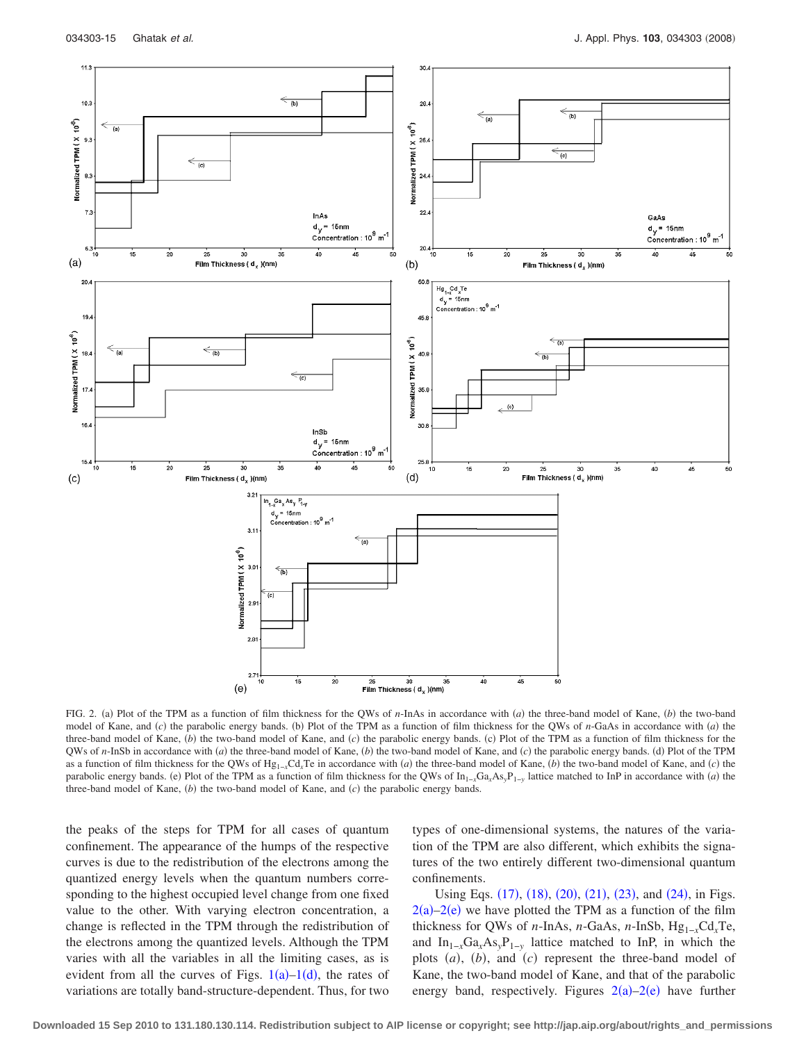<span id="page-14-0"></span>

FIG. 2. (a) Plot of the TPM as a function of film thickness for the QWs of *n*-InAs in accordance with *(a)* the three-band model of Kane, *(b)* the two-band model of Kane, and *(c)* the parabolic energy bands. (b) Plot of the TPM as a function of film thickness for the QWs of *n*-GaAs in accordance with *(a)* the three-band model of Kane, (b) the two-band model of Kane, and (c) the parabolic energy bands. (c) Plot of the TPM as a function of film thickness for the QWs of *n*-InSb in accordance with (*a*) the three-band model of Kane, (*b*) the two-band model of Kane, and (*c*) the parabolic energy bands. (d) Plot of the TPM as a function of film thickness for the QWs of  $Hg_{1-x}Cd_xTe$  in accordance with *(a)* the three-band model of Kane, *(b)* the two-band model of Kane, and *(c)* the parabolic energy bands. (e) Plot of the TPM as a function of film thickness for the QWs of  $\text{In}_{1-x}\text{Ga}_x\text{As}_y\text{P}_{1-y}$  lattice matched to InP in accordance with *(a)* the three-band model of Kane,  $(b)$  the two-band model of Kane, and  $(c)$  the parabolic energy bands.

the peaks of the steps for TPM for all cases of quantum confinement. The appearance of the humps of the respective curves is due to the redistribution of the electrons among the quantized energy levels when the quantum numbers corresponding to the highest occupied level change from one fixed value to the other. With varying electron concentration, a change is reflected in the TPM through the redistribution of the electrons among the quantized levels. Although the TPM varies with all the variables in all the limiting cases, as is evident from all the curves of Figs.  $1(a)-1(d)$  $1(a)-1(d)$ , the rates of variations are totally band-structure-dependent. Thus, for two types of one-dimensional systems, the natures of the variation of the TPM are also different, which exhibits the signatures of the two entirely different two-dimensional quantum confinements.

Using Eqs. ([17](#page-4-2)), ([18](#page-4-9)), ([20](#page-4-4)), ([21](#page-4-5)), ([23](#page-4-7)), and ([24](#page-5-0)), in Figs.  $2(a)-2(e)$  $2(a)-2(e)$  we have plotted the TPM as a function of the film thickness for QWs of *n*-InAs, *n*-GaAs, *n*-InSb,  $Hg_{1-x}Cd_xTe$ , and  $In_{1-x}Ga_xAs_yP_{1-y}$  lattice matched to InP, in which the plots  $(a)$ ,  $(b)$ , and  $(c)$  represent the three-band model of Kane, the two-band model of Kane, and that of the parabolic energy band, respectively. Figures  $2(a)-2(e)$  $2(a)-2(e)$  have further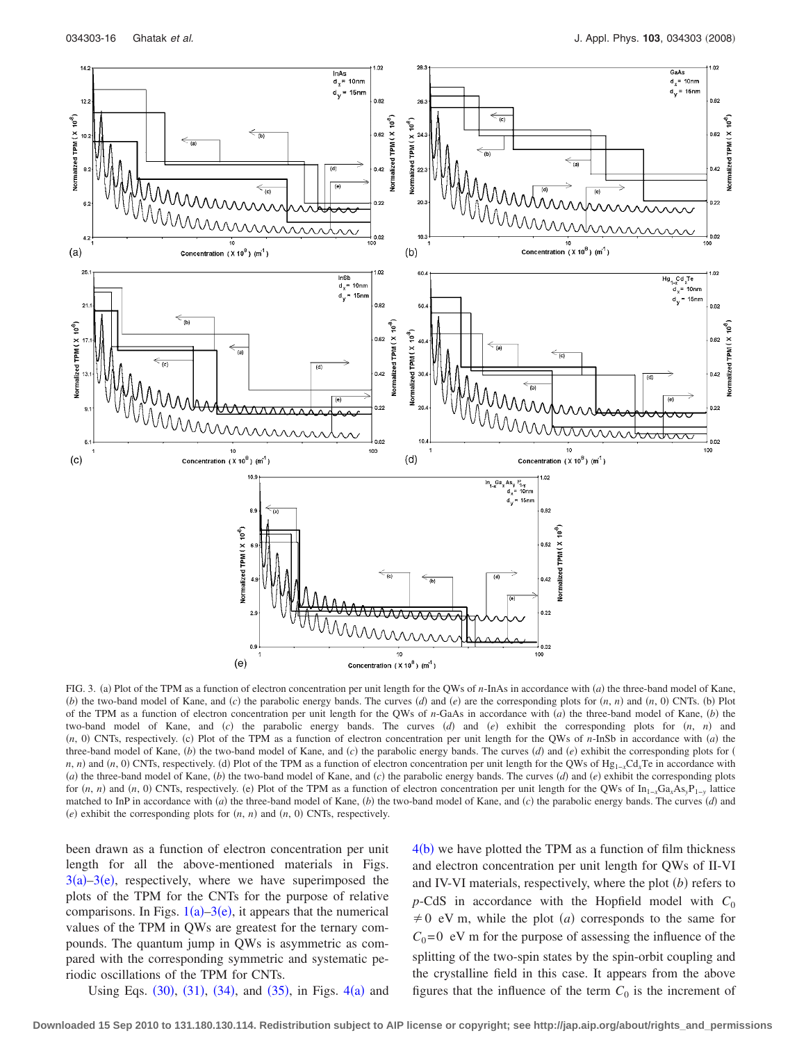<span id="page-15-0"></span>

FIG. 3. (a) Plot of the TPM as a function of electron concentration per unit length for the QWs of *n*-InAs in accordance with *(a)* the three-band model of Kane, (b) the two-band model of Kane, and (c) the parabolic energy bands. The curves  $(d)$  and  $(e)$  are the corresponding plots for  $(n, n)$  and  $(n, 0)$  CNTs. (b) Plot of the TPM as a function of electron concentration per unit length for the QWs of *n*-GaAs in accordance with (*a*) the three-band model of Kane, (*b*) the two-band model of Kane, and *(c)* the parabolic energy bands. The curves *(d)* and *(e)* exhibit the corresponding plots for *(n, n)* and  $(n, 0)$  CNTs, respectively. (c) Plot of the TPM as a function of electron concentration per unit length for the QWs of *n*-InSb in accordance with *(a)* the three-band model of Kane,  $(b)$  the two-band model of Kane, and  $(c)$  the parabolic energy bands. The curves  $(d)$  and  $(e)$  exhibit the corresponding plots for  $(c)$ *n*, *n*) and (*n*, 0) CNTs, respectively. (d) Plot of the TPM as a function of electron concentration per unit length for the QWs of Hg<sub>1</sub><sub>-*x*</sub>Cd<sub>*x*</sub>Te in accordance with (*a*) the three-band model of Kane, (*b*) the two-band model of Kane, and (*c*) the parabolic energy bands. The curves (*d*) and (*e*) exhibit the corresponding plots for  $(n, n)$  and  $(n, 0)$  CNTs, respectively. (e) Plot of the TPM as a function of electron concentration per unit length for the QWs of  $In_{1-x}Ga_xAs_yP_{1-y}$  lattice matched to InP in accordance with  $(a)$  the three-band model of Kane,  $(b)$  the two-band model of Kane, and  $(c)$  the parabolic energy bands. The curves  $(d)$  and  $(e)$  exhibit the corresponding plots for  $(n, n)$  and  $(n, 0)$  CNTs, respectively.

been drawn as a function of electron concentration per unit length for all the above-mentioned materials in Figs.  $3(a)-3(e)$  $3(a)-3(e)$ , respectively, where we have superimposed the plots of the TPM for the CNTs for the purpose of relative comparisons. In Figs.  $1(a) - 3(e)$  $1(a) - 3(e)$ , it appears that the numerical values of the TPM in QWs are greatest for the ternary compounds. The quantum jump in QWs is asymmetric as compared with the corresponding symmetric and systematic periodic oscillations of the TPM for CNTs.

 $4(b)$  $4(b)$  we have plotted the TPM as a function of film thickness and electron concentration per unit length for QWs of II-VI and IV-VI materials, respectively, where the plot  $(b)$  refers to  $p$ -CdS in accordance with the Hopfield model with  $C_0$  $\neq$  0 eV m, while the plot *(a)* corresponds to the same for  $C_0$ =0 eV m for the purpose of assessing the influence of the splitting of the two-spin states by the spin-orbit coupling and the crystalline field in this case. It appears from the above figures that the influence of the term  $C_0$  is the increment of

Using Eqs.  $(30)$  $(30)$  $(30)$ ,  $(31)$  $(31)$  $(31)$ ,  $(34)$  $(34)$  $(34)$ , and  $(35)$  $(35)$  $(35)$ , in Figs.  $4(a)$  $4(a)$  and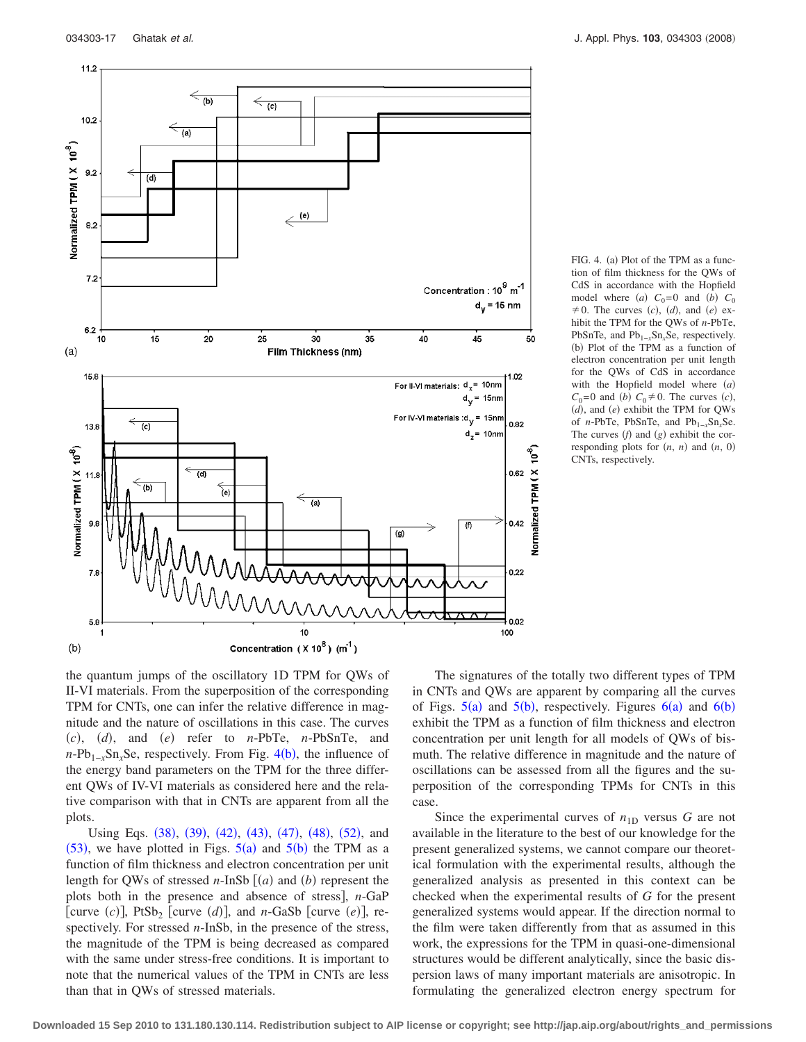<span id="page-16-0"></span>

FIG. 4. (a) Plot of the TPM as a function of film thickness for the QWs of CdS in accordance with the Hopfield model where (a)  $C_0=0$  and (b)  $C_0$  $\neq$  0. The curves *(c)*, *(d)*, and *(e)* exhibit the TPM for the QWs of *n*-PbTe, PbSnTe, and Pb<sub>1−*x*</sub>Sn<sub>*x*</sub>Se, respectively. (b) Plot of the TPM as a function of electron concentration per unit length for the QWs of CdS in accordance with the Hopfield model where (a)  $C_0 = 0$  and *(b)*  $C_0 \neq 0$ . The curves *(c)*, (d), and (e) exhibit the TPM for QWs of *n*-PbTe, PbSnTe, and Pb1−*x*Sn*x*Se. The curves  $(f)$  and  $(g)$  exhibit the corresponding plots for  $(n, n)$  and  $(n, 0)$ CNTs, respectively.

the quantum jumps of the oscillatory 1D TPM for QWs of II-VI materials. From the superposition of the corresponding TPM for CNTs, one can infer the relative difference in magnitude and the nature of oscillations in this case. The curves  $(c)$ ,  $(d)$ , and  $(e)$  refer to *n*-PbTe, *n*-PbSnTe, and *n*-Pb<sub>1−*x*</sub>Sn<sub>*x*</sub>Se, respectively. From Fig. [4](#page-16-0)(b), the influence of the energy band parameters on the TPM for the three different QWs of IV-VI materials as considered here and the relative comparison with that in CNTs are apparent from all the plots.

Using Eqs. ([38](#page-7-1)), ([39](#page-7-5)), ([42](#page-8-0)), ([43](#page-8-3)), ([47](#page-8-2)), ([48](#page-9-6)), ([52](#page-9-1)), and  $(53)$  $(53)$  $(53)$ , we have plotted in Figs.  $5(a)$  $5(a)$  and  $5(b)$  the TPM as a function of film thickness and electron concentration per unit length for QWs of stressed  $n$ -InSb  $(a)$  and  $(b)$  represent the plots both in the presence and absence of stress, *n*-GaP [curve  $(c)$ ], PtSb<sub>2</sub> [curve  $(d)$ ], and *n*-GaSb [curve  $(e)$ ], respectively. For stressed *n*-InSb, in the presence of the stress, the magnitude of the TPM is being decreased as compared with the same under stress-free conditions. It is important to note that the numerical values of the TPM in CNTs are less than that in QWs of stressed materials.

The signatures of the totally two different types of TPM in CNTs and QWs are apparent by comparing all the curves of Figs.  $5(a)$  $5(a)$  and  $5(b)$ , respectively. Figures  $6(a)$  $6(a)$  and  $6(b)$ exhibit the TPM as a function of film thickness and electron concentration per unit length for all models of QWs of bismuth. The relative difference in magnitude and the nature of oscillations can be assessed from all the figures and the superposition of the corresponding TPMs for CNTs in this case.

Since the experimental curves of  $n_{1D}$  versus *G* are not available in the literature to the best of our knowledge for the present generalized systems, we cannot compare our theoretical formulation with the experimental results, although the generalized analysis as presented in this context can be checked when the experimental results of *G* for the present generalized systems would appear. If the direction normal to the film were taken differently from that as assumed in this work, the expressions for the TPM in quasi-one-dimensional structures would be different analytically, since the basic dispersion laws of many important materials are anisotropic. In formulating the generalized electron energy spectrum for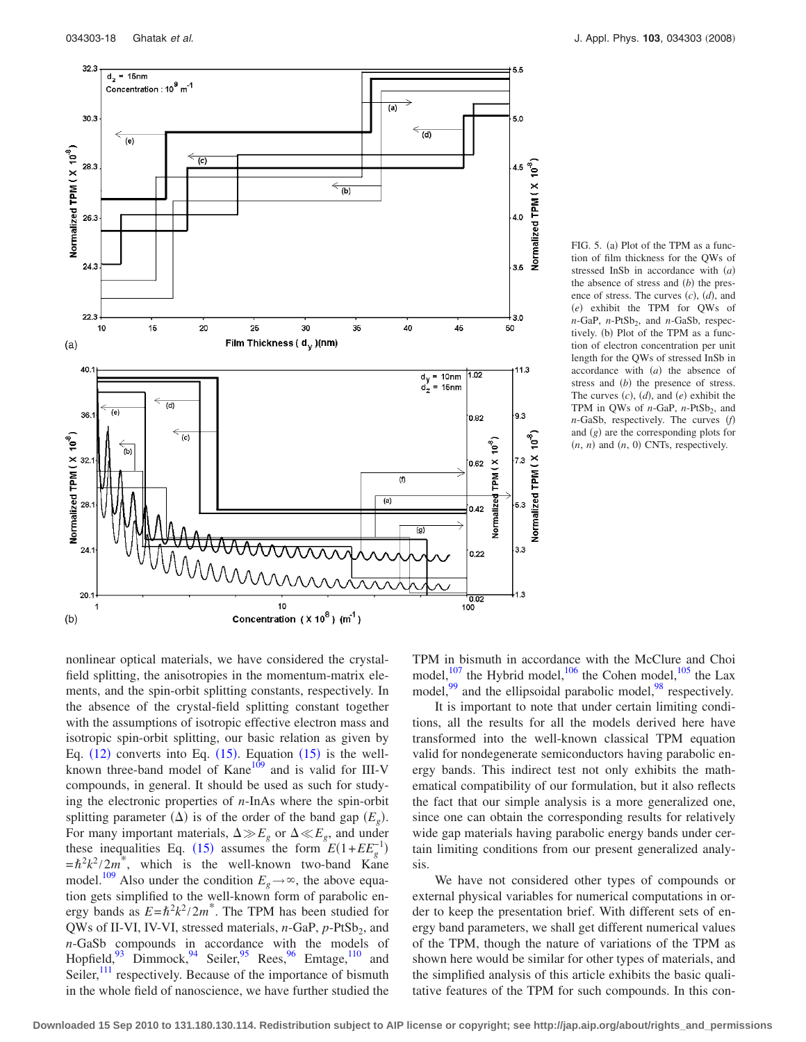<span id="page-17-0"></span>

FIG. 5. (a) Plot of the TPM as a function of film thickness for the QWs of stressed InSb in accordance with (a) the absence of stress and  $(b)$  the presence of stress. The curves  $(c)$ ,  $(d)$ , and (e) exhibit the TPM for QWs of  $n$ -GaP,  $n$ -PtSb<sub>2</sub>, and  $n$ -GaSb, respectively. (b) Plot of the TPM as a function of electron concentration per unit length for the QWs of stressed InSb in accordance with  $(a)$  the absence of stress and (b) the presence of stress. The curves  $(c)$ ,  $(d)$ , and  $(e)$  exhibit the TPM in QWs of *n*-GaP, *n*-PtSb<sub>2</sub>, and *n*-GaSb, respectively. The curves (f) and (g) are the corresponding plots for  $(n, n)$  and  $(n, 0)$  CNTs, respectively.

nonlinear optical materials, we have considered the crystalfield splitting, the anisotropies in the momentum-matrix elements, and the spin-orbit splitting constants, respectively. In the absence of the crystal-field splitting constant together with the assumptions of isotropic effective electron mass and isotropic spin-orbit splitting, our basic relation as given by Eq.  $(12)$  $(12)$  $(12)$  converts into Eq.  $(15)$  $(15)$  $(15)$ . Equation  $(15)$  is the wellknown three-band model of Kane<sup>109</sup> and is valid for III-V compounds, in general. It should be used as such for studying the electronic properties of *n*-InAs where the spin-orbit splitting parameter  $(\Delta)$  is of the order of the band gap  $(E_g)$ . For many important materials,  $\Delta \gg E_g$  or  $\Delta \ll E_g$ , and under these inequalities Eq. ([15](#page-4-1)) assumes the form  $E(1+EE_g^{-1})$  $=\hbar^2 k^2 / 2m^*$ , which is the well-known two-band Kane model.<sup>109</sup> Also under the condition  $E_g \rightarrow \infty$ , the above equation gets simplified to the well-known form of parabolic energy bands as  $E = \hbar^2 k^2 / 2m^*$ . The TPM has been studied for QWs of II-VI, IV-VI, stressed materials, *n*-GaP, *p*-PtSb<sub>2</sub>, and *n*-GaSb compounds in accordance with the models of Hopfield, $93$  Dimmock, $94$  Seiler, $95$  Rees, $96$  Emtage, $110$  and Seiler, $^{111}$  respectively. Because of the importance of bismuth in the whole field of nanoscience, we have further studied the

TPM in bismuth in accordance with the McClure and Choi model, $107$  the Hybrid model, $106$  the Cohen model,  $105$  the Lax model, $99$  and the ellipsoidal parabolic model, $98$  respectively.

It is important to note that under certain limiting conditions, all the results for all the models derived here have transformed into the well-known classical TPM equation valid for nondegenerate semiconductors having parabolic energy bands. This indirect test not only exhibits the mathematical compatibility of our formulation, but it also reflects the fact that our simple analysis is a more generalized one, since one can obtain the corresponding results for relatively wide gap materials having parabolic energy bands under certain limiting conditions from our present generalized analysis.

We have not considered other types of compounds or external physical variables for numerical computations in order to keep the presentation brief. With different sets of energy band parameters, we shall get different numerical values of the TPM, though the nature of variations of the TPM as shown here would be similar for other types of materials, and the simplified analysis of this article exhibits the basic qualitative features of the TPM for such compounds. In this con-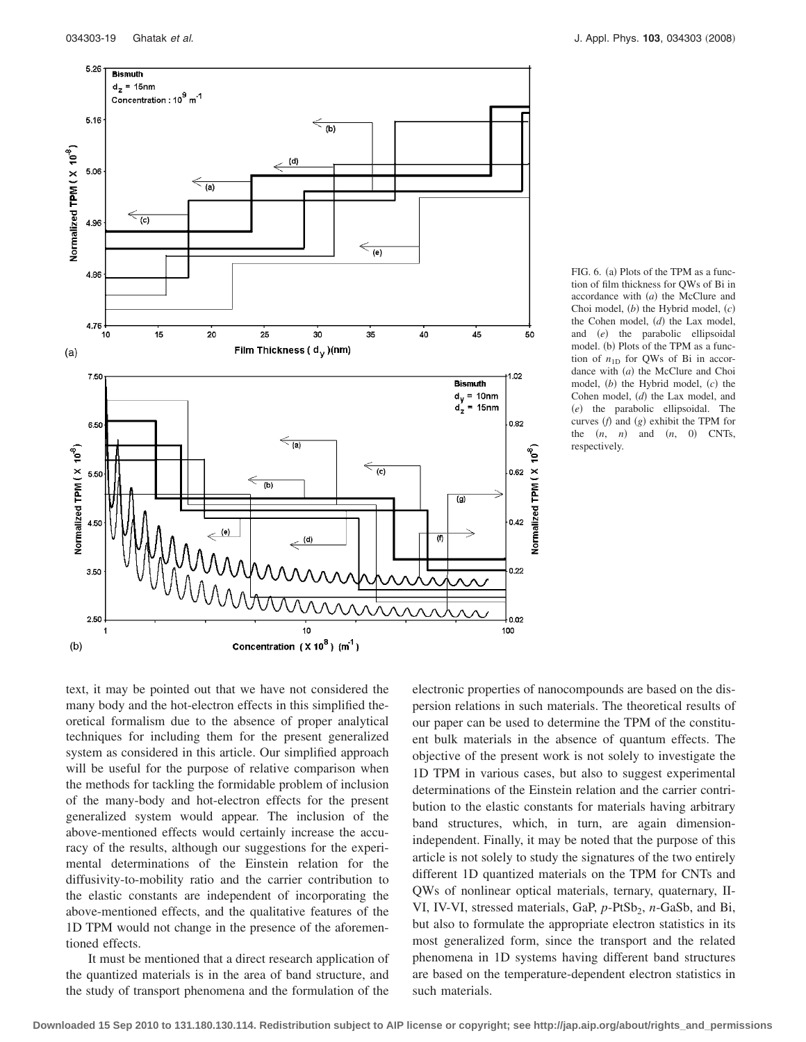<span id="page-18-0"></span>

FIG. 6. (a) Plots of the TPM as a function of film thickness for QWs of Bi in accordance with (a) the McClure and Choi model,  $(b)$  the Hybrid model,  $(c)$ the Cohen model, (d) the Lax model, and *(e)* the parabolic ellipsoidal model. (b) Plots of the TPM as a function of  $n_{1D}$  for QWs of Bi in accordance with (a) the McClure and Choi model, (b) the Hybrid model, (c) the Cohen model, (d) the Lax model, and (e) the parabolic ellipsoidal. The curves  $(f)$  and  $(g)$  exhibit the TPM for the  $(n, n)$  and  $(n, 0)$  CNTs, respectively.

text, it may be pointed out that we have not considered the many body and the hot-electron effects in this simplified theoretical formalism due to the absence of proper analytical techniques for including them for the present generalized system as considered in this article. Our simplified approach will be useful for the purpose of relative comparison when the methods for tackling the formidable problem of inclusion of the many-body and hot-electron effects for the present generalized system would appear. The inclusion of the above-mentioned effects would certainly increase the accuracy of the results, although our suggestions for the experimental determinations of the Einstein relation for the diffusivity-to-mobility ratio and the carrier contribution to the elastic constants are independent of incorporating the above-mentioned effects, and the qualitative features of the 1D TPM would not change in the presence of the aforementioned effects.

It must be mentioned that a direct research application of the quantized materials is in the area of band structure, and the study of transport phenomena and the formulation of the

electronic properties of nanocompounds are based on the dispersion relations in such materials. The theoretical results of our paper can be used to determine the TPM of the constituent bulk materials in the absence of quantum effects. The objective of the present work is not solely to investigate the 1D TPM in various cases, but also to suggest experimental determinations of the Einstein relation and the carrier contribution to the elastic constants for materials having arbitrary band structures, which, in turn, are again dimensionindependent. Finally, it may be noted that the purpose of this article is not solely to study the signatures of the two entirely different 1D quantized materials on the TPM for CNTs and QWs of nonlinear optical materials, ternary, quaternary, II-VI, IV-VI, stressed materials, GaP, p-PtSb<sub>2</sub>, n-GaSb, and Bi, but also to formulate the appropriate electron statistics in its most generalized form, since the transport and the related phenomena in 1D systems having different band structures are based on the temperature-dependent electron statistics in such materials.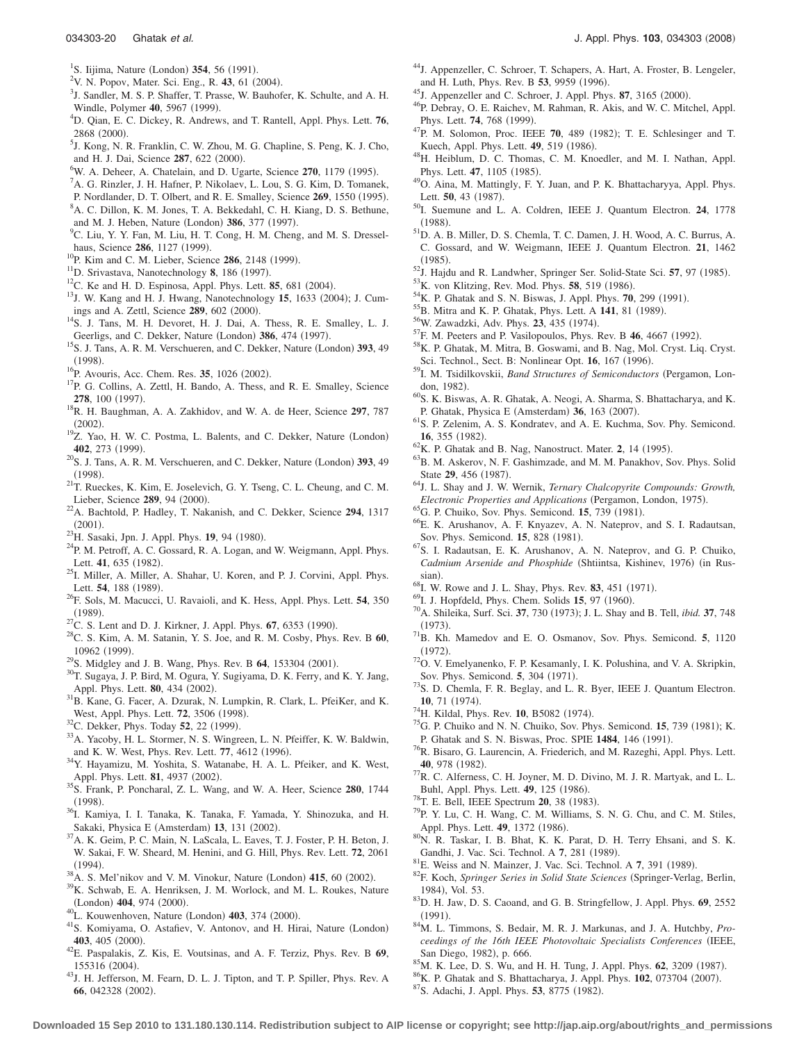- <span id="page-19-0"></span><sup>1</sup>S. Iijima, Nature (London) **354**, 56 (1991).
- <span id="page-19-1"></span><sup>2</sup>V. N. Popov, Mater. Sci. Eng., R. 43, 61 (2004).<br><sup>3</sup>L Sandlar, M. S. B. Shaffar, T. Prassa. W. Baubat
- <span id="page-19-2"></span><sup>3</sup>J. Sandler, M. S. P. Shaffer, T. Prasse, W. Bauhofer, K. Schulte, and A. H. Windle, Polymer **40**, 5967 (1999).
- <span id="page-19-3"></span>D. Qian, E. C. Dickey, R. Andrews, and T. Rantell, Appl. Phys. Lett. **76**,  $^{2868}$  (2000).
- <span id="page-19-4"></span> $<sup>5</sup>$ J. Kong, N. R. Franklin, C. W. Zhou, M. G. Chapline, S. Peng, K. J. Cho,</sup> and H. J. Dai, Science 287, 622 (2000).
- <span id="page-19-5"></span><sup>o</sup>W. A. Deheer, A. Chatelain, and D. Ugarte, Science 270, 1179 (1995).
- <span id="page-19-6"></span> ${}^{7}$ A. G. Rinzler, J. H. Hafner, P. Nikolaev, L. Lou, S. G. Kim, D. Tomanek,
- <span id="page-19-7"></span>P. Nordlander, D. T. Olbert, and R. E. Smalley, Science 269, 1550 (1995). A. C. Dillon, K. M. Jones, T. A. Bekkedahl, C. H. Kiang, D. S. Bethune,
- <span id="page-19-8"></span>and M. J. Heben, Nature (London) **386**, 377 (1997). <sup>9</sup>C. Liu, Y. Y. Fan, M. Liu, H. T. Cong, H. M. Cheng, and M. S. Dresselhaus, Science 286, 1127 (1999).
- <span id="page-19-9"></span><sup>10</sup>P. Kim and C. M. Lieber, Science **286**, 2148 (1999).
- <span id="page-19-10"></span><sup>11</sup>D. Srivastava, Nanotechnology 8, 186 (1997).
- <span id="page-19-11"></span><sup>12</sup>C. Ke and H. D. Espinosa, Appl. Phys. Lett. **85**, 681 (2004).
- <span id="page-19-12"></span><sup>12</sup>C. Ke and H. D. Espinosa, Appl. Phys. Lett. **85**, 681 (2004).<br><sup>13</sup>J. W. Kang and H. J. Hwang, Nanotechnology **15**, 1633 (2004); J. Cumings and A. Zettl, Science 289, 602 (2000).
- <sup>14</sup>S. J. Tans, M. H. Devoret, H. J. Dai, A. Thess, R. E. Smalley, L. J. Geerligs, and C. Dekker, Nature (London) 386, 474 (1997)
- <span id="page-19-13"></span>Geerligs, and C. Dekker, Nature (London) **386**, 474 (1997).<br><sup>15</sup>S. J. Tans, A. R. M. Verschueren, and C. Dekker, Nature (London) **393**, 49  $(1998).$
- <span id="page-19-14"></span><sup>16</sup>P. Avouris, Acc. Chem. Res. **35**, 1026 (2002).
- <sup>17</sup>P. G. Collins, A. Zettl, H. Bando, A. Thess, and R. E. Smalley, Science **278**, 100 (1997).
- <span id="page-19-15"></span><sup>18</sup>R. H. Baughman, A. A. Zakhidov, and W. A. de Heer, Science 297, 787  $(2002).$
- <span id="page-19-16"></span> $\frac{(2002)}{2}$ . Yao, H. W. C. Postma, L. Balents, and C. Dekker, Nature (London) 402, 273 (1999). **402**, 273 (1999).<br><sup>20</sup>S. J. Tans, A. R. M. Verschueren, and C. Dekker, Nature (London) **393**, 49
- <span id="page-19-17"></span> $(1998).$
- <span id="page-19-18"></span> $^{212}$ T. Rueckes, K. Kim, E. Joselevich, G. Y. Tseng, C. L. Cheung, and C. M. Lieber, Science 289, 94 (2000).
- <span id="page-19-19"></span>. 22A. Bachtold, P. Hadley, T. Nakanish, and C. Dekker, Science **<sup>294</sup>**, 1317  $(2001)$ .
- <span id="page-19-20"></span><sup>23</sup>H. Sasaki, Jpn. J. Appl. Phys. **19**, 94 (1980).
- <sup>24</sup>P. M. Petroff, A. C. Gossard, R. A. Logan, and W. Weigmann, Appl. Phys. Lett. 41, 635 (1982).
- <span id="page-19-21"></span><sup>25</sup>I. Miller, A. Miller, A. Shahar, U. Koren, and P. J. Corvini, Appl. Phys. Lett. 54, 188 (1989).
- <span id="page-19-22"></span>. 26F. Sols, M. Macucci, U. Ravaioli, and K. Hess, Appl. Phys. Lett. **<sup>54</sup>**, 350  $(1989)$ .
- <sup>27</sup>C. S. Lent and D. J. Kirkner, J. Appl. Phys. **67**, 6353 (1990).
- . 28C. S. Kim, A. M. Satanin, Y. S. Joe, and R. M. Cosby, Phys. Rev. B **<sup>60</sup>**, 10962 (1999).
- <span id="page-19-23"></span><sup>29</sup>S. Midgley and J. B. Wang, Phys. Rev. B **64**, 153304 (2001).
- <span id="page-19-24"></span><sup>30</sup>T. Sugaya, J. P. Bird, M. Ogura, Y. Sugiyama, D. K. Ferry, and K. Y. Jang, Appl. Phys. Lett. **80**, 434 (2002).
- <sup>31</sup>B. Kane, G. Facer, A. Dzurak, N. Lumpkin, R. Clark, L. PfeiKer, and K. West, Appl. Phys. Lett. **72**, 3506 (1998).
- <sup>32</sup>C. Dekker, Phys. Today **52**, 22 (1999).
- <sup>33</sup>A. Yacoby, H. L. Stormer, N. S. Wingreen, L. N. Pfeiffer, K. W. Baldwin, and K. W. West, Phys. Rev. Lett. 77, 4612 (1996).
- <span id="page-19-25"></span><sup>34</sup>Y. Hayamizu, M. Yoshita, S. Watanabe, H. A. L. Pfeiker, and K. West, Appl. Phys. Lett. **81**, 4937 (2002).
- <span id="page-19-26"></span>. 35S. Frank, P. Poncharal, Z. L. Wang, and W. A. Heer, Science **<sup>280</sup>**, 1744  $(1998).$
- <span id="page-19-27"></span><sup>36</sup>I. Kamiya, I. I. Tanaka, K. Tanaka, F. Yamada, Y. Shinozuka, and H. Sakaki, Physica E (Amsterdam) 13, 131 (2002)
- <span id="page-19-28"></span><sup>37</sup>A. K. Geim, P. C. Main, N. LaScala, L. Eaves, T. J. Foster, P. H. Beton, J. W. Sakai, F. W. Sheard, M. Henini, and G. Hill, Phys. Rev. Lett. **72**, 2061  $(1994).$
- <span id="page-19-29"></span>(1994).<br><sup>38</sup>A. S. Mel'nikov and V. M. Vinokur, Nature (London) **415**, 60 (2002)
- <span id="page-19-30"></span><sup>39</sup>K. Schwab, E. A. Henriksen, J. M. Worlock, and M. L. Roukes, Nature (London) 404, 974 (2000) (London) **404**, 974 (2000).<br><sup>40</sup>L. Kouwenhoven, Nature (London) **403**, 374 (2000)
- 
- <span id="page-19-31"></span><sup>40</sup>L. Kouwenhoven, Nature (London) **403**, 374 (2000).<br><sup>41</sup>S. Komiyama, O. Astafiev, V. Antonov, and H. Hirai, Nature (London) 403, 405 (2000).
- <span id="page-19-32"></span>. 42E. Paspalakis, Z. Kis, E. Voutsinas, and A. F. Terziz, Phys. Rev. B **<sup>69</sup>**, 155316 (2004).
- <span id="page-19-33"></span><sup>43</sup>J. H. Jefferson, M. Fearn, D. L. J. Tipton, and T. P. Spiller, Phys. Rev. A 66, 042328 (2002).
- <span id="page-19-34"></span><sup>44</sup>J. Appenzeller, C. Schroer, T. Schapers, A. Hart, A. Froster, B. Lengeler, and H. Luth, Phys. Rev. B 53, 9959 (1996).
- <sup>45</sup>J. Appenzeller and C. Schroer, J. Appl. Phys. **87**, 3165 (2000).
- <span id="page-19-35"></span><sup>46</sup>P. Debray, O. E. Raichev, M. Rahman, R. Akis, and W. C. Mitchel, Appl. Phys. Lett. **74**, 768 (1999).
- <span id="page-19-36"></span>Phys. Lett. **74**, 768 (1999).<br><sup>47</sup>P. M. Solomon, Proc. IEEE **70**, 489 (1982); T. E. Schlesinger and T. Kuech, Appl. Phys. Lett. **49**, 519 (1986).
- <span id="page-19-37"></span><sup>48</sup>H. Heiblum, D. C. Thomas, C. M. Knoedler, and M. I. Nathan, Appl. Phys. Lett. **47**, 1105 (1985).
- <span id="page-19-38"></span><sup>49</sup>O. Aina, M. Mattingly, F. Y. Juan, and P. K. Bhattacharyya, Appl. Phys. Lett. 50, 43 (1987).
- <span id="page-19-39"></span>. 50I. Suemune and L. A. Coldren, IEEE J. Quantum Electron. **<sup>24</sup>**, 1778  $(1988).$
- <span id="page-19-40"></span>. 51D. A. B. Miller, D. S. Chemla, T. C. Damen, J. H. Wood, A. C. Burrus, A. C. Gossard, and W. Weigmann, IEEE J. Quantum Electron. **21**, 1462  $(1985)$ .
- <span id="page-19-41"></span>. 52J. Hajdu and R. Landwher, Springer Ser. Solid-State Sci. **<sup>57</sup>**, 97 1985-<sup>22</sup>J. Hajdu and R. Landwher, Springer Ser. Solid-State Sci. **57**, 97 (1985).<br><sup>53</sup>K. von Klitzing, Rev. Mod. Phys. **58**, 519 (1986).
- <span id="page-19-43"></span>
- <span id="page-19-42"></span><sup>53</sup>K. von Klitzing, Rev. Mod. Phys. **58**, 519 (1986).<br><sup>54</sup>K. P. Ghatak and S. N. Biswas, J. Appl. Phys. **70**, 299 (1991). <sup>34</sup>K. P. Ghatak and S. N. Biswas, J. Appl. Phys. **70**, 299 (1991).<br><sup>55</sup>B. Mitra and K. P. Ghatak, Phys. Lett. A **141**, 81 (1989).
- <sup>55</sup>B. Mitra and K. P. Ghatak, Phys. Lett. A **141**, 81 (1989).<br><sup>56</sup>W. Zawadzki, Adv. Phys. **23**, 435 (1974).
- 
- <sup>56</sup>W. Zawadzki, Adv. Phys. **23**, 435 (1974).<br><sup>57</sup>F. M. Peeters and P. Vasilopoulos, Phys. Rev. B **46**, 4667 (1992).
- . 58K. P. Ghatak, M. Mitra, B. Goswami, and B. Nag, Mol. Cryst. Liq. Cryst. Sci. Technol., Sect. B: Nonlinear Opt. **16**, 167 (1996).
- <span id="page-19-45"></span><sup>59</sup>I. M. Tsidilkovskii, *Band Structures of Semiconductors* (Pergamon, London,  $1982$ ).
- <span id="page-19-70"></span>. 60S. K. Biswas, A. R. Ghatak, A. Neogi, A. Sharma, S. Bhattacharya, and K. P. Ghatak, Physica E (Amsterdam) 36, 163 (2007)
- <span id="page-19-46"></span><sup>61</sup>S. P. Zelenim, A. S. Kondratev, and A. E. Kuchma, Sov. Phy. Semicond. 16, 355 (1982).
- <sup>62</sup>K. P. Ghatak and B. Nag, Nanostruct. Mater. **2**, 14 (1995).
- <span id="page-19-44"></span>. 63B. M. Askerov, N. F. Gashimzade, and M. M. Panakhov, Sov. Phys. Solid State 29, 456 (1987).
- <span id="page-19-47"></span>. 64J. L. Shay and J. W. Wernik, *Ternary Chalcopyrite Compounds: Growth, Electronic Properties and Applications* (Pergamon, London, 1975).
- <span id="page-19-48"></span><sup>65</sup>G. P. Chuiko, Sov. Phys. Semicond. **15**, 739 (1981).
- . 66E. K. Arushanov, A. F. Knyazev, A. N. Nateprov, and S. I. Radautsan, Sov. Phys. Semicond. **15**, 828 (1981).
- <span id="page-19-49"></span><sup>67</sup>S. I. Radautsan, E. K. Arushanov, A. N. Nateprov, and G. P. Chuiko, Cadmium Arsenide and Phosphide (Shtiintsa, Kishinev, 1976) (in Russian).
- <span id="page-19-50"></span><sup>68</sup>I. W. Rowe and J. L. Shay, Phys. Rev. **83**, 451 (1971).
- <sup>69</sup>I. J. Hopfdeld, Phys. Chem. Solids **15**, 97 (1960).
- <span id="page-19-52"></span><span id="page-19-51"></span><sup>70</sup>I. J. Hopfdeld, Phys. Chem. Solids **15**, 97 (1960).<br><sup>70</sup>A. Shileika, Surf. Sci. **37**, 730 (1973); J. L. Shay and B. Tell, *ibid.* **37**, 748  $(1973)$ .
- <span id="page-19-53"></span>. 71B. Kh. Mamedov and E. O. Osmanov, Sov. Phys. Semicond. **<sup>5</sup>**, 1120  $(1972)$
- <span id="page-19-54"></span> $^{72}$ O. V. Emelyanenko, F. P. Kesamanly, I. K. Polushina, and V. A. Skripkin, Sov. Phys. Semicond. **5**, 304 (1971).
- <span id="page-19-55"></span> $^{73}$ S. D. Chemla, F. R. Beglay, and L. R. Byer, IEEE J. Quantum Electron. **10**, 71 (1974).
- <sup>74</sup>H. Kildal, Phys. Rev. **10**, B5082 (1974).
- <span id="page-19-57"></span><span id="page-19-56"></span><sup>14</sup>H. Kildal, Phys. Rev. **10**, B5082 (1974).<br><sup>75</sup>G. P. Chuiko and N. N. Chuiko, Sov. Phys. Semicond. **15**, 739 (1981); K. P. Ghatak and S. N. Biswas, Proc. SPIE 1484, 146 (1991).
- <span id="page-19-58"></span> $^{76}$ R. Bisaro, G. Laurencin, A. Friederich, and M. Razeghi, Appl. Phys. Lett. 40, 978 (1982).
- <span id="page-19-59"></span> $^{77}R$ . C. Alferness, C. H. Joyner, M. D. Divino, M. J. R. Martyak, and L. L. Buhl, Appl. Phys. Lett. **49**, 125 (1986).
- <span id="page-19-60"></span><sup>78</sup>T. E. Bell, IEEE Spectrum **20**, 38 (1983).
- <span id="page-19-61"></span><sup>79</sup>P. Y. Lu, C. H. Wang, C. M. Williams, S. N. G. Chu, and C. M. Stiles, Appl. Phys. Lett. **49**, 1372 (1986).
- <span id="page-19-62"></span>80<sub>N.</sub> R. Taskar, I. B. Bhat, K. K. Parat, D. H. Terry Ehsani, and S. K. Gandhi, J. Vac. Sci. Technol. A 7, 281 (1989).
- <span id="page-19-63"></span><sup>81</sup>E. Weiss and N. Mainzer, J. Vac. Sci. Technol. A 7, 391 (1989).
- <span id="page-19-64"></span><sup>82</sup>F. Koch, Springer Series in Solid State Sciences (Springer-Verlag, Berlin, 1984), Vol. 53.
- <span id="page-19-65"></span><sup>83</sup>D. H. Jaw, D. S. Caoand, and G. B. Stringfellow, J. Appl. Phys. 69, 2552  $(1991)$ .
- <span id="page-19-66"></span>. 84M. L. Timmons, S. Bedair, M. R. J. Markunas, and J. A. Hutchby, *Proceedings of the 16th IEEE Photovoltaic Specialists Conferences* IEEE, San Diego, 1982), p. 666.
- <span id="page-19-67"></span><sup>85</sup>M. K. Lee, D. S. Wu, and H. H. Tung, J. Appl. Phys. **62**, 3209 (1987). <sup>85</sup>M. K. Lee, D. S. Wu, and H. H. Tung, J. Appl. Phys. **62**, 3209 (1987).<br><sup>86</sup>K. P. Ghatak and S. Bhattacharya, J. Appl. Phys. **102**, 073704 (2007).
- <span id="page-19-68"></span><sup>86</sup>K. P. Ghatak and S. Bhattacharya, J. Appl. Phys. **102**, 073704 (2007).<br><sup>87</sup>S. Adachi, J. Appl. Phys. **53**, 8775 (1982).
- <span id="page-19-69"></span><sup>87</sup>S. Adachi, J. Appl. Phys. **53**, 8775 (1982).